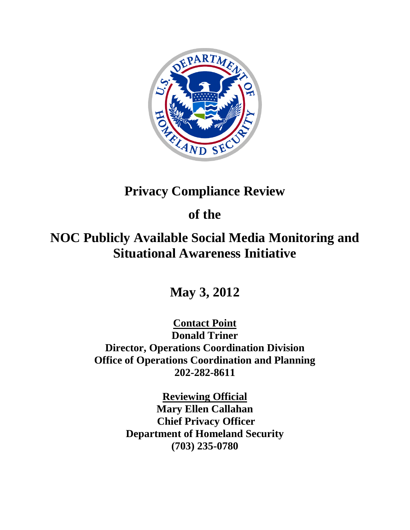

# **Privacy Compliance Review**

# **of the**

# **NOC Publicly Available Social Media Monitoring and Situational Awareness Initiative**

**May 3, 2012**

**Contact Point Donald Triner Director, Operations Coordination Division Office of Operations Coordination and Planning 202-282-8611**

> **Reviewing Official Mary Ellen Callahan Chief Privacy Officer Department of Homeland Security (703) 235-0780**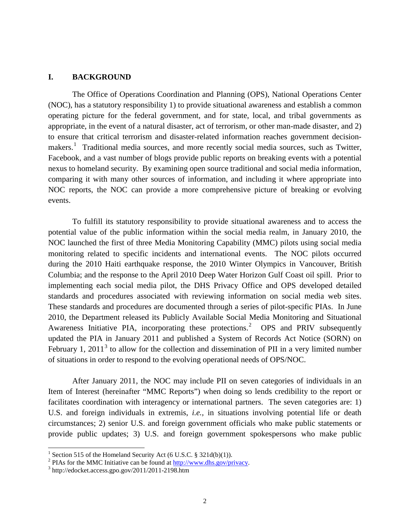## **I. BACKGROUND**

The Office of Operations Coordination and Planning (OPS), National Operations Center (NOC), has a statutory responsibility 1) to provide situational awareness and establish a common operating picture for the federal government, and for state, local, and tribal governments as appropriate, in the event of a natural disaster, act of terrorism, or other man-made disaster, and 2) to ensure that critical terrorism and disaster-related information reaches government decision-makers.<sup>[1](#page-1-0)</sup> Traditional media sources, and more recently social media sources, such as Twitter, Facebook, and a vast number of blogs provide public reports on breaking events with a potential nexus to homeland security. By examining open source traditional and social media information, comparing it with many other sources of information, and including it where appropriate into NOC reports, the NOC can provide a more comprehensive picture of breaking or evolving events.

To fulfill its statutory responsibility to provide situational awareness and to access the potential value of the public information within the social media realm, in January 2010, the NOC launched the first of three Media Monitoring Capability (MMC) pilots using social media monitoring related to specific incidents and international events. The NOC pilots occurred during the 2010 Haiti earthquake response, the 2010 Winter Olympics in Vancouver, British Columbia; and the response to the April 2010 Deep Water Horizon Gulf Coast oil spill. Prior to implementing each social media pilot, the DHS Privacy Office and OPS developed detailed standards and procedures associated with reviewing information on social media web sites. These standards and procedures are documented through a series of pilot-specific PIAs. In June 2010, the Department released its Publicly Available Social Media Monitoring and Situational Awareness Initiative PIA, incorporating these protections.<sup>[2](#page-1-1)</sup> OPS and PRIV subsequently updated the PIA in January 2011 and published a System of Records Act Notice (SORN) on February 1, 2011<sup>[3](#page-1-2)</sup> to allow for the collection and dissemination of PII in a very limited number of situations in order to respond to the evolving operational needs of OPS/NOC.

After January 2011, the NOC may include PII on seven categories of individuals in an Item of Interest (hereinafter "MMC Reports") when doing so lends credibility to the report or facilitates coordination with interagency or international partners. The seven categories are: 1) U.S. and foreign individuals in extremis, *i.e.,* in situations involving potential life or death circumstances; 2) senior U.S. and foreign government officials who make public statements or provide public updates; 3) U.S. and foreign government spokespersons who make public

<sup>&</sup>lt;sup>1</sup> Section 515 of the Homeland Security Act (6 U.S.C. § 321d(b)(1)).

<span id="page-1-1"></span><span id="page-1-0"></span><sup>&</sup>lt;sup>2</sup> PIAs for the MMC Initiative can be found at  $\frac{http://www.dhs.gov/privacy.}{http://edocket.access.google/2011/2011-2198.htm}$ 

<span id="page-1-2"></span>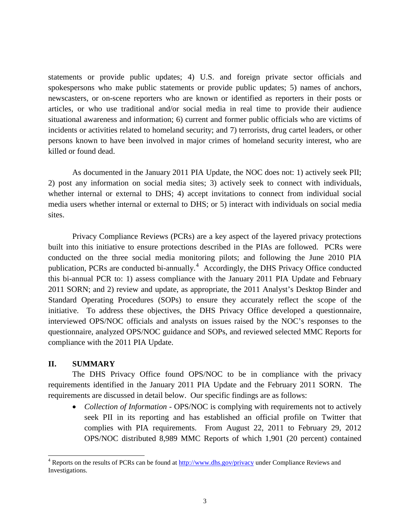statements or provide public updates; 4) U.S. and foreign private sector officials and spokespersons who make public statements or provide public updates; 5) names of anchors, newscasters, or on-scene reporters who are known or identified as reporters in their posts or articles, or who use traditional and/or social media in real time to provide their audience situational awareness and information; 6) current and former public officials who are victims of incidents or activities related to homeland security; and 7) terrorists, drug cartel leaders, or other persons known to have been involved in major crimes of homeland security interest, who are killed or found dead.

As documented in the January 2011 PIA Update, the NOC does not: 1) actively seek PII; 2) post any information on social media sites; 3) actively seek to connect with individuals, whether internal or external to DHS; 4) accept invitations to connect from individual social media users whether internal or external to DHS; or 5) interact with individuals on social media sites.

Privacy Compliance Reviews (PCRs) are a key aspect of the layered privacy protections built into this initiative to ensure protections described in the PIAs are followed. PCRs were conducted on the three social media monitoring pilots; and following the June 2010 PIA publication, PCRs are conducted bi-annually.<sup>[4](#page-2-0)</sup> Accordingly, the DHS Privacy Office conducted this bi-annual PCR to: 1) assess compliance with the January 2011 PIA Update and February 2011 SORN; and 2) review and update, as appropriate, the 2011 Analyst's Desktop Binder and Standard Operating Procedures (SOPs) to ensure they accurately reflect the scope of the initiative. To address these objectives, the DHS Privacy Office developed a questionnaire, interviewed OPS/NOC officials and analysts on issues raised by the NOC's responses to the questionnaire, analyzed OPS/NOC guidance and SOPs, and reviewed selected MMC Reports for compliance with the 2011 PIA Update.

## **II. SUMMARY**

The DHS Privacy Office found OPS/NOC to be in compliance with the privacy requirements identified in the January 2011 PIA Update and the February 2011 SORN. The requirements are discussed in detail below. Our specific findings are as follows:

• *Collection of Information -* OPS/NOC is complying with requirements not to actively seek PII in its reporting and has established an official profile on Twitter that complies with PIA requirements. From August 22, 2011 to February 29, 2012 OPS/NOC distributed 8,989 MMC Reports of which 1,901 (20 percent) contained

<span id="page-2-0"></span> <sup>4</sup> Reports on the results of PCRs can be found at<http://www.dhs.gov/privacy> under Compliance Reviews and Investigations.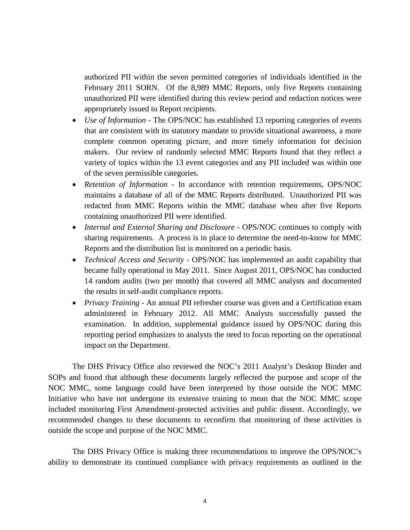authorized PII within the seven permitted categories of individuals identified in the February 2011 SORN. Of the 8,989 MMC Reports, only five Reports containing unauthorized PII were identified during this review period and redaction notices were appropriately issued to Report recipients.

- *Use of Information* The OPS/NOC has established 13 reporting categories of events that are consistent with its statutory mandate to provide situational awareness, a more complete common operating picture, and more timely information for decision makers. Our review of randomly selected MMC Reports found that they reflect a variety of topics within the 13 event categories and any PII included was within one of the seven permissible categories.
- *Retention of Information -* In accordance with retention requirements, OPS/NOC maintains a database of all of the MMC Reports distributed. Unauthorized PII was redacted from MMC Reports within the MMC database when after five Reports containing unauthorized PII were identified.
- *Internal and External Sharing and Disclosure* OPS/NOC continues to comply with sharing requirements. A process is in place to determine the need-to-know for MMC Reports and the distribution list is monitored on a periodic basis.
- *Technical Access and Security* OPS/NOC has implemented an audit capability that became fully operational in May 2011. Since August 2011, OPS/NOC has conducted 14 random audits (two per month) that covered all MMC analysts and documented the results in self-audit compliance reports.
- *Privacy Training* An annual PII refresher course was given and a Certification exam administered in February 2012. All MMC Analysts successfully passed the examination. In addition, supplemental guidance issued by OPS/NOC during this reporting period emphasizes to analysts the need to focus reporting on the operational impact on the Department.

The DHS Privacy Office also reviewed the NOC's 2011 Analyst's Desktop Binder and SOPs and found that although these documents largely reflected the purpose and scope of the NOC MMC, some language could have been interpreted by those outside the NOC MMC Initiative who have not undergone its extensive training to mean that the NOC MMC scope included monitoring First Amendment-protected activities and public dissent. Accordingly, we recommended changes to these documents to reconfirm that monitoring of these activities is outside the scope and purpose of the NOC MMC.

The DHS Privacy Office is making three recommendations to improve the OPS/NOC's ability to demonstrate its continued compliance with privacy requirements as outlined in the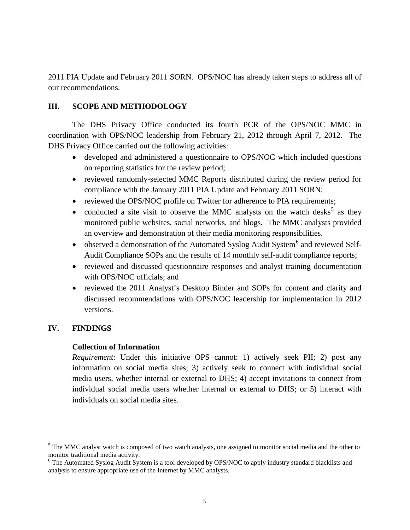2011 PIA Update and February 2011 SORN. OPS/NOC has already taken steps to address all of our recommendations.

## **III. SCOPE AND METHODOLOGY**

The DHS Privacy Office conducted its fourth PCR of the OPS/NOC MMC in coordination with OPS/NOC leadership from February 21, 2012 through April 7, 2012. The DHS Privacy Office carried out the following activities:

- developed and administered a questionnaire to OPS/NOC which included questions on reporting statistics for the review period;
- reviewed randomly-selected MMC Reports distributed during the review period for compliance with the January 2011 PIA Update and February 2011 SORN;
- reviewed the OPS/NOC profile on Twitter for adherence to PIA requirements;
- conducted a site visit to observe the MMC analysts on the watch desks<sup>[5](#page-4-0)</sup> as they monitored public websites, social networks, and blogs. The MMC analysts provided an overview and demonstration of their media monitoring responsibilities.
- observed a demonstration of the Automated Syslog Audit System<sup>[6](#page-4-1)</sup> and reviewed Self-Audit Compliance SOPs and the results of 14 monthly self-audit compliance reports;
- reviewed and discussed questionnaire responses and analyst training documentation with OPS/NOC officials; and
- reviewed the 2011 Analyst's Desktop Binder and SOPs for content and clarity and discussed recommendations with OPS/NOC leadership for implementation in 2012 versions.

## **IV. FINDINGS**

## **Collection of Information**

*Requirement*: Under this initiative OPS cannot: 1) actively seek PII; 2) post any information on social media sites; 3) actively seek to connect with individual social media users, whether internal or external to DHS; 4) accept invitations to connect from individual social media users whether internal or external to DHS; or 5) interact with individuals on social media sites.

<span id="page-4-0"></span><sup>&</sup>lt;sup>5</sup> The MMC analyst watch is composed of two watch analysts, one assigned to monitor social media and the other to monitor traditional media activity.

<span id="page-4-1"></span> $6$  The Automated Syslog Audit System is a tool developed by OPS/NOC to apply industry standard blacklists and analysis to ensure appropriate use of the Internet by MMC analysts.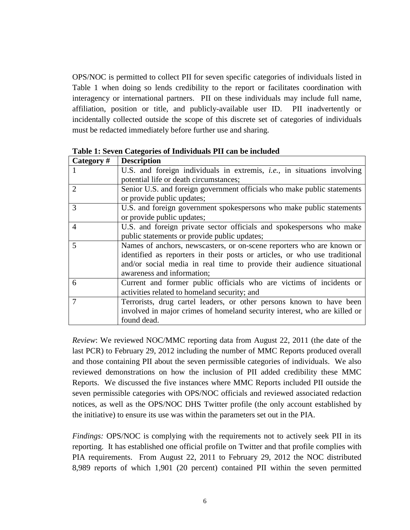OPS/NOC is permitted to collect PII for seven specific categories of individuals listed in Table 1 when doing so lends credibility to the report or facilitates coordination with interagency or international partners. PII on these individuals may include full name, affiliation, position or title, and publicly-available user ID. PII inadvertently or incidentally collected outside the scope of this discrete set of categories of individuals must be redacted immediately before further use and sharing.

| Category#      | <b>Description</b>                                                              |
|----------------|---------------------------------------------------------------------------------|
|                | U.S. and foreign individuals in extremis, <i>i.e.</i> , in situations involving |
|                | potential life or death circumstances;                                          |
| 2              | Senior U.S. and foreign government officials who make public statements         |
|                | or provide public updates;                                                      |
| 3              | U.S. and foreign government spokespersons who make public statements            |
|                | or provide public updates;                                                      |
| $\overline{4}$ | U.S. and foreign private sector officials and spokespersons who make            |
|                | public statements or provide public updates;                                    |
| 5              | Names of anchors, newscasters, or on-scene reporters who are known or           |
|                | identified as reporters in their posts or articles, or who use traditional      |
|                | and/or social media in real time to provide their audience situational          |
|                | awareness and information;                                                      |
| 6              | Current and former public officials who are victims of incidents or             |
|                | activities related to homeland security; and                                    |
| $\tau$         | Terrorists, drug cartel leaders, or other persons known to have been            |
|                | involved in major crimes of homeland security interest, who are killed or       |
|                | found dead.                                                                     |

**Table 1: Seven Categories of Individuals PII can be included** 

*Review*: We reviewed NOC/MMC reporting data from August 22, 2011 (the date of the last PCR) to February 29, 2012 including the number of MMC Reports produced overall and those containing PII about the seven permissible categories of individuals. We also reviewed demonstrations on how the inclusion of PII added credibility these MMC Reports. We discussed the five instances where MMC Reports included PII outside the seven permissible categories with OPS/NOC officials and reviewed associated redaction notices, as well as the OPS/NOC DHS Twitter profile (the only account established by the initiative) to ensure its use was within the parameters set out in the PIA.

*Findings:* OPS/NOC is complying with the requirements not to actively seek PII in its reporting. It has established one official profile on Twitter and that profile complies with PIA requirements. From August 22, 2011 to February 29, 2012 the NOC distributed 8,989 reports of which 1,901 (20 percent) contained PII within the seven permitted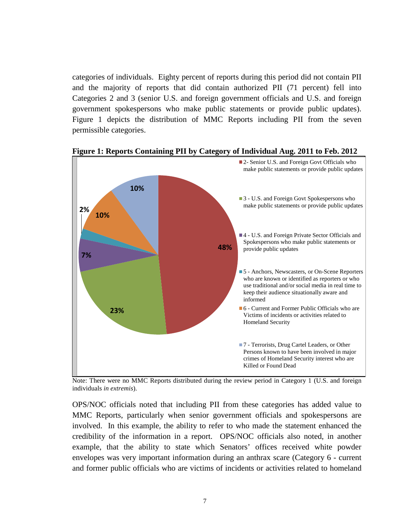categories of individuals. Eighty percent of reports during this period did not contain PII and the majority of reports that did contain authorized PII (71 percent) fell into Categories 2 and 3 (senior U.S. and foreign government officials and U.S. and foreign government spokespersons who make public statements or provide public updates). Figure 1 depicts the distribution of MMC Reports including PII from the seven permissible categories.



**Figure 1: Reports Containing PII by Category of Individual Aug. 2011 to Feb. 2012**

Note: There were no MMC Reports distributed during the review period in Category 1 (U.S. and foreign individuals *in extremis*).

OPS/NOC officials noted that including PII from these categories has added value to MMC Reports, particularly when senior government officials and spokespersons are involved. In this example, the ability to refer to who made the statement enhanced the credibility of the information in a report. OPS/NOC officials also noted, in another example, that the ability to state which Senators' offices received white powder envelopes was very important information during an anthrax scare (Category 6 - current and former public officials who are victims of incidents or activities related to homeland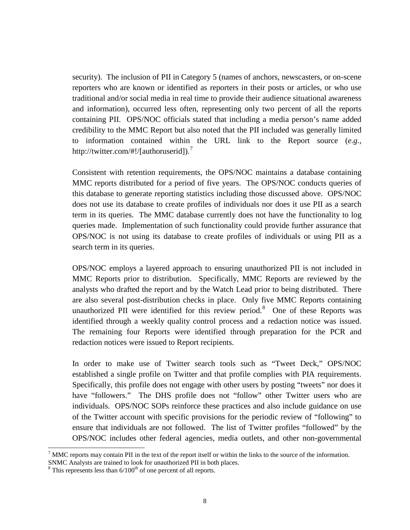security). The inclusion of PII in Category 5 (names of anchors, newscasters, or on-scene reporters who are known or identified as reporters in their posts or articles, or who use traditional and/or social media in real time to provide their audience situational awareness and information), occurred less often, representing only two percent of all the reports containing PII. OPS/NOC officials stated that including a media person's name added credibility to the MMC Report but also noted that the PII included was generally limited to information contained within the URL link to the Report source (*e.g.,* http://twitter.com/#!/[authoruserid]).<sup>[7](#page-7-0)</sup>

Consistent with retention requirements, the OPS/NOC maintains a database containing MMC reports distributed for a period of five years. The OPS/NOC conducts queries of this database to generate reporting statistics including those discussed above. OPS/NOC does not use its database to create profiles of individuals nor does it use PII as a search term in its queries. The MMC database currently does not have the functionality to log queries made. Implementation of such functionality could provide further assurance that OPS/NOC is not using its database to create profiles of individuals or using PII as a search term in its queries.

OPS/NOC employs a layered approach to ensuring unauthorized PII is not included in MMC Reports prior to distribution. Specifically, MMC Reports are reviewed by the analysts who drafted the report and by the Watch Lead prior to being distributed. There are also several post-distribution checks in place. Only five MMC Reports containing unauthorized PII were identified for this review period.<sup>[8](#page-7-1)</sup> One of these Reports was identified through a weekly quality control process and a redaction notice was issued. The remaining four Reports were identified through preparation for the PCR and redaction notices were issued to Report recipients.

In order to make use of Twitter search tools such as "Tweet Deck," OPS/NOC established a single profile on Twitter and that profile complies with PIA requirements. Specifically, this profile does not engage with other users by posting "tweets" nor does it have "followers." The DHS profile does not "follow" other Twitter users who are individuals. OPS/NOC SOPs reinforce these practices and also include guidance on use of the Twitter account with specific provisions for the periodic review of "following" to ensure that individuals are not followed. The list of Twitter profiles "followed" by the OPS/NOC includes other federal agencies, media outlets, and other non-governmental

<span id="page-7-0"></span> $<sup>7</sup>$  MMC reports may contain PII in the text of the report itself or within the links to the source of the information.</sup>

SNMC Analysts are trained to look for unauthorized PII in both places.

<span id="page-7-1"></span> $8$  This represents less than  $6/100<sup>th</sup>$  of one percent of all reports.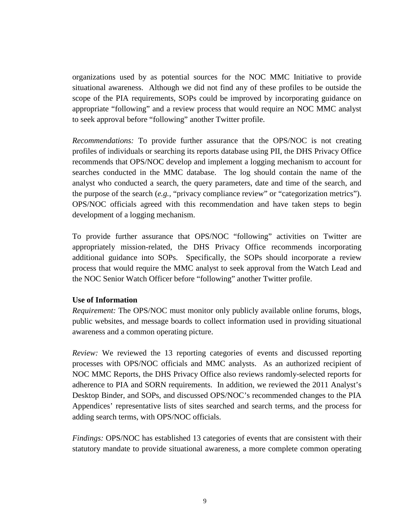organizations used by as potential sources for the NOC MMC Initiative to provide situational awareness. Although we did not find any of these profiles to be outside the scope of the PIA requirements, SOPs could be improved by incorporating guidance on appropriate "following" and a review process that would require an NOC MMC analyst to seek approval before "following" another Twitter profile.

*Recommendations:* To provide further assurance that the OPS/NOC is not creating profiles of individuals or searching its reports database using PII, the DHS Privacy Office recommends that OPS/NOC develop and implement a logging mechanism to account for searches conducted in the MMC database. The log should contain the name of the analyst who conducted a search, the query parameters, date and time of the search, and the purpose of the search (*e.g.,* "privacy compliance review" or "categorization metrics"). OPS/NOC officials agreed with this recommendation and have taken steps to begin development of a logging mechanism.

To provide further assurance that OPS/NOC "following" activities on Twitter are appropriately mission-related, the DHS Privacy Office recommends incorporating additional guidance into SOPs. Specifically, the SOPs should incorporate a review process that would require the MMC analyst to seek approval from the Watch Lead and the NOC Senior Watch Officer before "following" another Twitter profile.

## **Use of Information**

*Requirement:* The OPS/NOC must monitor only publicly available online forums, blogs, public websites, and message boards to collect information used in providing situational awareness and a common operating picture.

*Review:* We reviewed the 13 reporting categories of events and discussed reporting processes with OPS/NOC officials and MMC analysts. As an authorized recipient of NOC MMC Reports, the DHS Privacy Office also reviews randomly-selected reports for adherence to PIA and SORN requirements. In addition, we reviewed the 2011 Analyst's Desktop Binder, and SOPs, and discussed OPS/NOC's recommended changes to the PIA Appendices' representative lists of sites searched and search terms, and the process for adding search terms, with OPS/NOC officials.

*Findings:* OPS/NOC has established 13 categories of events that are consistent with their statutory mandate to provide situational awareness, a more complete common operating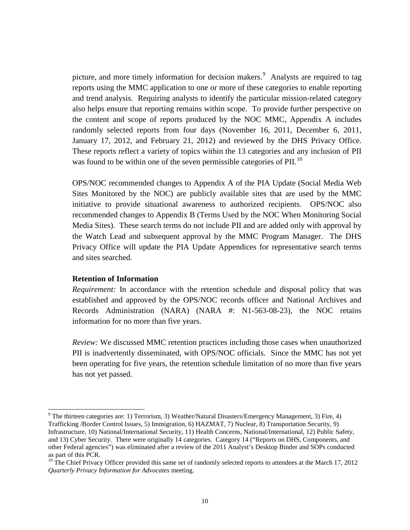picture, and more timely information for decision makers.<sup>[9](#page-9-0)</sup> Analysts are required to tag reports using the MMC application to one or more of these categories to enable reporting and trend analysis. Requiring analysts to identify the particular mission-related category also helps ensure that reporting remains within scope. To provide further perspective on the content and scope of reports produced by the NOC MMC, Appendix A includes randomly selected reports from four days (November 16, 2011, December 6, 2011, January 17, 2012, and February 21, 2012) and reviewed by the DHS Privacy Office. These reports reflect a variety of topics within the 13 categories and any inclusion of PII was found to be within one of the seven permissible categories of PII.<sup>[10](#page-9-1)</sup>

OPS/NOC recommended changes to Appendix A of the PIA Update (Social Media Web Sites Monitored by the NOC) are publicly available sites that are used by the MMC initiative to provide situational awareness to authorized recipients. OPS/NOC also recommended changes to Appendix B (Terms Used by the NOC When Monitoring Social Media Sites). These search terms do not include PII and are added only with approval by the Watch Lead and subsequent approval by the MMC Program Manager. The DHS Privacy Office will update the PIA Update Appendices for representative search terms and sites searched.

## **Retention of Information**

*Requirement:* In accordance with the retention schedule and disposal policy that was established and approved by the OPS/NOC records officer and National Archives and Records Administration (NARA) (NARA #: N1-563-08-23), the NOC retains information for no more than five years.

*Review:* We discussed MMC retention practices including those cases when unauthorized PII is inadvertently disseminated, with OPS/NOC officials. Since the MMC has not yet been operating for five years, the retention schedule limitation of no more than five years has not yet passed.

<span id="page-9-0"></span> $9$  The thirteen categories are: 1) Terrorism, 3) Weather/Natural Disasters/Emergency Management, 3) Fire, 4) Trafficking /Border Control Issues, 5) Immigration, 6) HAZMAT, 7) Nuclear, 8) Transportation Security, 9) Infrastructure, 10) National/International Security, 11) Health Concerns, National/International, 12) Public Safety, and 13) Cyber Security. There were originally 14 categories. Category 14 ("Reports on DHS, Components, and other Federal agencies") was eliminated after a review of the 2011 Analyst's Desktop Binder and SOPs conducted

<span id="page-9-1"></span> $10$  The Chief Privacy Officer provided this same set of randomly selected reports to attendees at the March 17, 2012 *Quarterly Privacy Information for Advocates* meeting.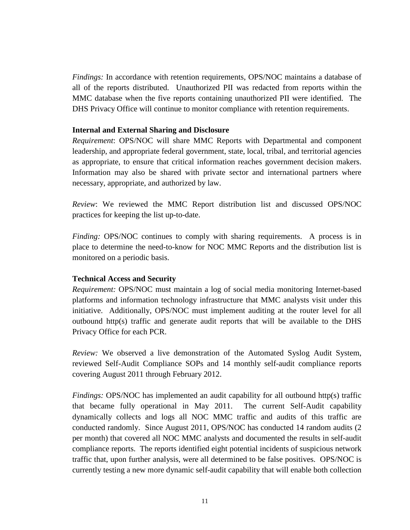*Findings:* In accordance with retention requirements, OPS/NOC maintains a database of all of the reports distributed. Unauthorized PII was redacted from reports within the MMC database when the five reports containing unauthorized PII were identified. The DHS Privacy Office will continue to monitor compliance with retention requirements.

## **Internal and External Sharing and Disclosure**

*Requirement*: OPS/NOC will share MMC Reports with Departmental and component leadership, and appropriate federal government, state, local, tribal, and territorial agencies as appropriate, to ensure that critical information reaches government decision makers. Information may also be shared with private sector and international partners where necessary, appropriate, and authorized by law.

*Review*: We reviewed the MMC Report distribution list and discussed OPS/NOC practices for keeping the list up-to-date.

*Finding:* OPS/NOC continues to comply with sharing requirements. A process is in place to determine the need-to-know for NOC MMC Reports and the distribution list is monitored on a periodic basis.

## **Technical Access and Security**

*Requirement:* OPS/NOC must maintain a log of social media monitoring Internet-based platforms and information technology infrastructure that MMC analysts visit under this initiative. Additionally, OPS/NOC must implement auditing at the router level for all outbound http(s) traffic and generate audit reports that will be available to the DHS Privacy Office for each PCR.

*Review:* We observed a live demonstration of the Automated Syslog Audit System, reviewed Self-Audit Compliance SOPs and 14 monthly self-audit compliance reports covering August 2011 through February 2012.

*Findings:* OPS/NOC has implemented an audit capability for all outbound http(s) traffic that became fully operational in May 2011. The current Self-Audit capability dynamically collects and logs all NOC MMC traffic and audits of this traffic are conducted randomly. Since August 2011, OPS/NOC has conducted 14 random audits (2 per month) that covered all NOC MMC analysts and documented the results in self-audit compliance reports. The reports identified eight potential incidents of suspicious network traffic that, upon further analysis, were all determined to be false positives. OPS/NOC is currently testing a new more dynamic self-audit capability that will enable both collection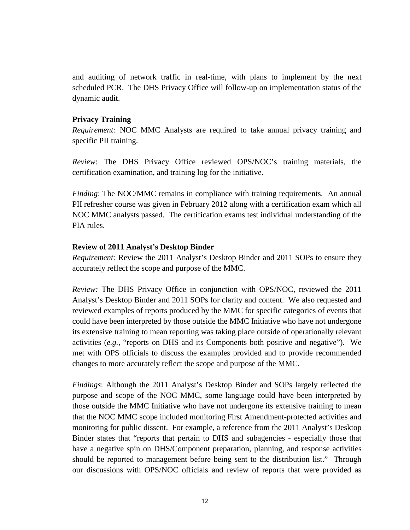and auditing of network traffic in real-time, with plans to implement by the next scheduled PCR. The DHS Privacy Office will follow-up on implementation status of the dynamic audit.

## **Privacy Training**

*Requirement:* NOC MMC Analysts are required to take annual privacy training and specific PII training.

*Review*: The DHS Privacy Office reviewed OPS/NOC's training materials, the certification examination, and training log for the initiative.

*Finding*: The NOC/MMC remains in compliance with training requirements. An annual PII refresher course was given in February 2012 along with a certification exam which all NOC MMC analysts passed. The certification exams test individual understanding of the PIA rules.

## **Review of 2011 Analyst's Desktop Binder**

*Requirement:* Review the 2011 Analyst's Desktop Binder and 2011 SOPs to ensure they accurately reflect the scope and purpose of the MMC.

*Review:* The DHS Privacy Office in conjunction with OPS/NOC, reviewed the 2011 Analyst's Desktop Binder and 2011 SOPs for clarity and content. We also requested and reviewed examples of reports produced by the MMC for specific categories of events that could have been interpreted by those outside the MMC Initiative who have not undergone its extensive training to mean reporting was taking place outside of operationally relevant activities (*e.g.*, "reports on DHS and its Components both positive and negative"). We met with OPS officials to discuss the examples provided and to provide recommended changes to more accurately reflect the scope and purpose of the MMC.

*Findings*: Although the 2011 Analyst's Desktop Binder and SOPs largely reflected the purpose and scope of the NOC MMC, some language could have been interpreted by those outside the MMC Initiative who have not undergone its extensive training to mean that the NOC MMC scope included monitoring First Amendment-protected activities and monitoring for public dissent. For example, a reference from the 2011 Analyst's Desktop Binder states that "reports that pertain to DHS and subagencies - especially those that have a negative spin on DHS/Component preparation, planning, and response activities should be reported to management before being sent to the distribution list." Through our discussions with OPS/NOC officials and review of reports that were provided as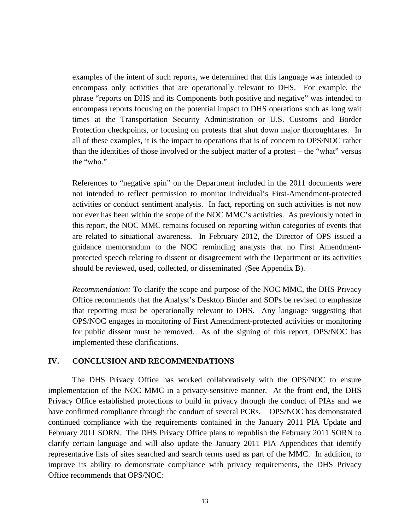examples of the intent of such reports, we determined that this language was intended to encompass only activities that are operationally relevant to DHS. For example, the phrase "reports on DHS and its Components both positive and negative" was intended to encompass reports focusing on the potential impact to DHS operations such as long wait times at the Transportation Security Administration or U.S. Customs and Border Protection checkpoints, or focusing on protests that shut down major thoroughfares. In all of these examples, it is the impact to operations that is of concern to OPS/NOC rather than the identities of those involved or the subject matter of a protest – the "what" versus the "who."

References to "negative spin" on the Department included in the 2011 documents were not intended to reflect permission to monitor individual's First-Amendment-protected activities or conduct sentiment analysis. In fact, reporting on such activities is not now nor ever has been within the scope of the NOC MMC's activities. As previously noted in this report, the NOC MMC remains focused on reporting within categories of events that are related to situational awareness. In February 2012, the Director of OPS issued a guidance memorandum to the NOC reminding analysts that no First Amendmentprotected speech relating to dissent or disagreement with the Department or its activities should be reviewed, used, collected, or disseminated (See Appendix B).

*Recommendation:* To clarify the scope and purpose of the NOC MMC, the DHS Privacy Office recommends that the Analyst's Desktop Binder and SOPs be revised to emphasize that reporting must be operationally relevant to DHS. Any language suggesting that OPS/NOC engages in monitoring of First Amendment-protected activities or monitoring for public dissent must be removed. As of the signing of this report, OPS/NOC has implemented these clarifications.

## **IV. CONCLUSION AND RECOMMENDATIONS**

The DHS Privacy Office has worked collaboratively with the OPS/NOC to ensure implementation of the NOC MMC in a privacy-sensitive manner. At the front end, the DHS Privacy Office established protections to build in privacy through the conduct of PIAs and we have confirmed compliance through the conduct of several PCRs. OPS/NOC has demonstrated continued compliance with the requirements contained in the January 2011 PIA Update and February 2011 SORN. The DHS Privacy Office plans to republish the February 2011 SORN to clarify certain language and will also update the January 2011 PIA Appendices that identify representative lists of sites searched and search terms used as part of the MMC. In addition, to improve its ability to demonstrate compliance with privacy requirements, the DHS Privacy Office recommends that OPS/NOC: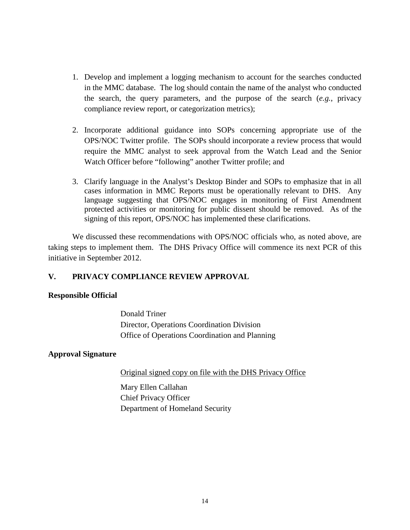- 1. Develop and implement a logging mechanism to account for the searches conducted in the MMC database. The log should contain the name of the analyst who conducted the search, the query parameters, and the purpose of the search (*e.g.*, privacy compliance review report, or categorization metrics);
- 2. Incorporate additional guidance into SOPs concerning appropriate use of the OPS/NOC Twitter profile. The SOPs should incorporate a review process that would require the MMC analyst to seek approval from the Watch Lead and the Senior Watch Officer before "following" another Twitter profile; and
- 3. Clarify language in the Analyst's Desktop Binder and SOPs to emphasize that in all cases information in MMC Reports must be operationally relevant to DHS. Any language suggesting that OPS/NOC engages in monitoring of First Amendment protected activities or monitoring for public dissent should be removed. As of the signing of this report, OPS/NOC has implemented these clarifications.

We discussed these recommendations with OPS/NOC officials who, as noted above, are taking steps to implement them. The DHS Privacy Office will commence its next PCR of this initiative in September 2012.

## **V. PRIVACY COMPLIANCE REVIEW APPROVAL**

## **Responsible Official**

Donald Triner Director, Operations Coordination Division Office of Operations Coordination and Planning

## **Approval Signature**

Original signed copy on file with the DHS Privacy Office

Mary Ellen Callahan Chief Privacy Officer Department of Homeland Security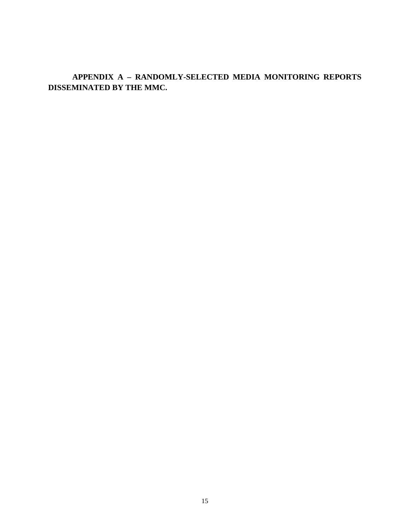**APPENDIX A – RANDOMLY-SELECTED MEDIA MONITORING REPORTS DISSEMINATED BY THE MMC.**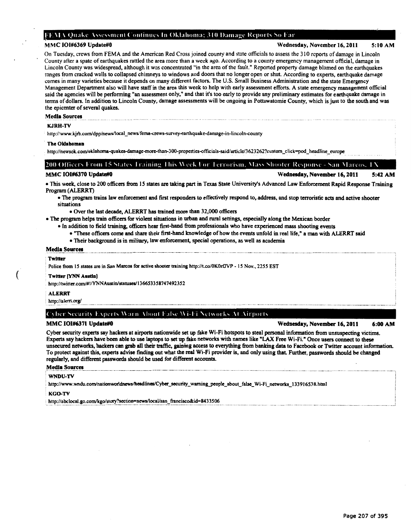## FEMA Quake Assessment Continues In Oklahoma; 310 Damage Reports So Far

MMC 101#6369 Update#O Wednesday, November 16, 2011 5:10AM

On Tuesday, crews from FEMA and the American Red Cross joined county and state officials to assess the 310 reports of damage in Lincoln County after a spate of earthquakes rattled the area more than a week ago. According to a county emergency management official, damage in Lincoln County was widespread, although it was concentrated "in the area of the fault." Reported property damage blamed on the earthquakes ranges from cracked walls to collapsed chimneys to windows and doors that no longer open or shut. According to experts, earthquake damage comes in many varieties because it depends on many different factors. The U.S. Small Business Administration and the state Emergency Management Department also will have staff in the area this week to help with early assessment efforts. A state emergency management otlicial said the agencies will be performing "an assessment only," and that it's too early to provide any preliminary estimates for earthquake damage in terms of dollars. In addition to Lincoln County, damage assessments will be ongoing in Pottawatomie County, which is just to the south and was the epicenter of several quakes.

## Media Sources

## KJRH-TV

http:/.'www.kjrh.comldpp/newsllocal\_news/fema-crews-survey-eanhquake-damage-in-lincoln-county

### The Oklahoman

http://newsok.com/oklahoma-quakes-damage-more-than-300-properties-officials-said/article/3623262?custom\_click=pod\_headline\_europe

## [200 Officers From 15 States Training This Week For Terrorism, Mass Shooter Response - San Marcos.

MMC IOI#6370 Update#0 **MMC 101#6370 Update#0** Wednesday, November 16, 2011 5:42 AM

• This week, close to 200 officers from 15 states are taking part in Texas State University's Advanced Law Enforcement Rapid Response Training Program (ALERRT)

- The program trains law enforcement and first responders to effectively respond to,.address, and stop terroristic acts and active shooter situations
	- Over the last decade, ALERRT has trained more than 32,000 officers

• The program helps train officers for violent situations in urban and rural settings, especially along the Mexican border

- In addition to field training, officers hear first-hand from professionals who have experienced mass shooting events
	- ''1bese officers come and share their first-hand knowledge ofhow the events unfold in real life," a man with ALERRTsaid
	- Their background is in military, law enforcement, special operations, as well as academia

## Media Sources

## **Twitter**

(

Police from 15 states are in San Marcos for active shooter training http://t.co/0K0rfJVP - 15 Nov., 2255 EST

### **Twitter [YNN Austin]**

http://twitter.com/#!/YNNAustin/statuses/136653358747492352

## ALERRT

· ~ttp://alern:()Tgl\_ ..... ··- ... .. . \_\_\_\_ ........ \_\_\_\_\_ \_ -·· ... ---··--·--·-- . ... .. ... .. ··- ..... .

## ( \ber Security Experts Warn About False Wi-Fi Networks At Airports

MMC IOI#6371 Update#0 **MMC 101#6371 Update#0** Wednesday, November 16, 2011 6:00 AM

Cyber security experts say hackers at airports nationwide set up fake Wi-Fi hotspots to steal personal information from unsuspecting victims. Experts say hackers have been able to use laptops to set up fake networks with names like "LAX Free Wi-Fi." Once users connect to these unsecured networks, hackers can grab all their traffic, gaining access to everything from banking data to Facebook or Twitter account information. To protect against this, experts advise finding out what the real Wi-Fi provider is, and only using that Further, passwords should be changed regularly, and different passwords sbould be used for different accounts.

## Media Sources

### WNDU-TV

http://www.wndu.com/nationworldnews/headlines/Cyber\_security\_warning\_people\_about\_false\_Wi-Fi\_networks\_133916538.html

## KGO-TV

http://abclocal.go.com/kgo/story?section=news/local/san\_francisco&id=8433506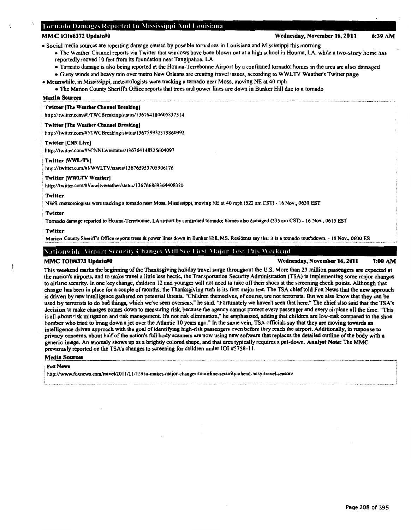## Tornado Damages Reported In Mississippi And Louisiana

## MMC 101#6372 Update#0 Wednesday, November 16, 2011 6:39 AM

• Social media sources are reporting damage caused by possible tomudocs in Louisiana and Mississippi this morning .

- The Weather Channel reports via Twitter that windows have been blown out at a high school in Houma, LA, while a two-story home has reportedly moved 10 feet from its foundation near Tangipahoa, LA
- Tornado damage is also being reported at the Houma-Terrebonne Airport by a confirmed tornado; homes in the area are also damaged
- Gusty winds and heavy rain over metro New Orleans are creating travel issues, according to WWL TV Weather's Twitter page

• Meanwhile, in Mississippi, meteorologists were tracking a tornado near Moss, moving NE at 40 mph

• The Marion County Sheriffs Office reports that trees and power lines are down in Bunker Hill due to a tornado

## ~~!~--~~~\_1'~11!!. -·-- --·-·--··--· ·-····--- -···-··-- -·-- . ···--·-·- .. -. ·-- ..... --··. -· . -.. . -·· .... -..... --· -· -···---· - . ·-··- -------·. ·- -·-··-·--·····-···-·· --··. ····----·· .. -

## Twitter [The Weather Channel Breaking]

http://twitter.com/#!/TWCBreaking/status/136764180605837314

## Twitter (The Weather Channel Breaking)

• http:/ /twitter.com/#!/TWCBreaking/status/136 7599323 79860992

## Twitter (CNN Live)

http://twitter.com/#!/CNNLive/status/136764148825604097

## • Twitter (WWL-TV)

http://twitter.com/#!/WWLTV/status/136765953705906176

## Twitter [WWLTV Weather]

http://twitter.com/#!/wwltvweather/status/136766869364408320

#### Twitter

NWS meteorologists were tracking a tornado near Moss, Mississippi, moving NE at 40 mph (522 am CST) - 16 Nov., 0630 EST

## , Twitter

Tornado damage reported to Houma-Terrebonne, LA airport by confirmed tornado; homes also damaged (335 am CST) - 16 Nov., 0615 EST

#### Twitter

Marion County Sheriff's Office reports trees & power lines down in Bunker Hill, MS. Residents say that it is a tornado touchdown. - 16 Nov., 0600 ES

## Nationwide Airport Security Changes Will See First Major Test This Weekend

MMC 101#6373 Update#O Wednesday, November 16, 2011 7:00AM

This weekend marks the beginning of the Thanksgiving holiday travel surge throughout the U.S. More than 23 million passengers are expected at the nation's airports, and to make travel a little less hectic, the Transportation Security Administration (TSA) is implementing some major changes to airline security. In one key change, children 12 and younger will not need to take off their shoes at the screening check points. Although that change has been in place for a couple of months, the Thanksgiving rush is its first major test. The TSA chief told Fox News that the new approach is driven by new intelligence gathered on potential threats. "Children themselves, of course, are not terrorists. But we also know that they can be used by terrorists to do bad things, which we've seen overseas," he said. "Fortunately we haven't seen that here." The chief also said that the TSA's decision to make changes comes down to measuring risk, because the agency cannot protect every passenger and every airplane all the time. "This is all about risk mitigation and risk management. It's not risk elimination," he emphasized, adding that children are low-risk compared to the shoe bomber who tried to bring down a jet over the Atlantic 10 years ago." In the same vein, TSA officials say that they are moving towards an intelligence-driven approach with the goal of identifying high-risk passengers even before they reach the airport. Additionally, in response to privacy concerns, about half of the nation's full body scanners are now using new software that replaces the detailed outline of the body with a generic image. An anomaly shows up as a brightly colored shape, and that area typically requires a pat-down. Analyst Note: The MMC previously reported on the TSA's changes to screening for children under 101 #5758-11.

## Media Sources

### **Fox News**

' http:/ /www.foxnews.com/travel/20 II /11/15/tsa-makes-major-changes-to-airline-security-ahead-busy-travel-season/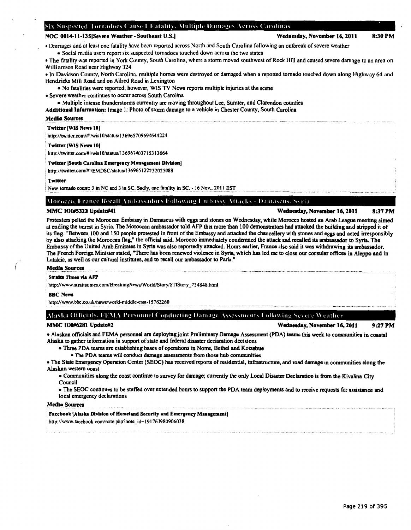## Six Suspected Tornadoes Cause I Fatality, Multiple Damages Across Carolinas

## NOC 0014-11-135|Severe Weather-Southeast U.S. | Wednesday, November 16, 2011 8:30 PM

• Damages and at least one tatality have been reported across North and South Carolina following an outbreak of severe weather • Social media users report six suspected tornadoes touched down across the two states

• The fatality was reported in York County, South Carolina, where a storm moved southwest of Rock Hill and caused severe damage to an area on Williamson Road ncar Highway 324

• In Davidson County, North Carolina, multiple homes were destroyed or damaged when a reported tornado touched down along Highway 64 and Hendricks Mill Road and on Allred Road in Lexington

• No fatalities were reported: however, WlS TV News reports multiple injuries at the scene

• Severe weather continues to occur across South Carolina

• Multiple intense thunderstorms currently are moving throughout Lee, Sumter, and Clarendon counties

Additional Information: Image 1: Photo of storm damage to a vehicle in Chester County, South Carolina

### Media Sources

### Twitter (WIS Newa 101

http://twitter.com/#!/wis10/status/136965709694644224

#### Twitter (WIS News 10)

http://twitter.com/#!/wis10/status/136967403715313664

### Twitter [South Carolina Emergency Management Division]

http://twitter.com/#!/EMDSC/status/136965122232025088

## Twitter

New tornado count: 3 in NC and 3 in SC. Sadly, one fatality in SC. - 16 Nov., 2011 EST

## Morocco, France Recall Ambassadors Following Embassy Attacks - Damascus, Syria

## MMC IOI#5322 Update#41 Wednesday, November 16, 2011 8:37 PM

Protesters pelted the Moroccan Embassy in Damascus with eggs and stones on Wednesday, while Morocco hosted an Arab League meeting aimed at ending the unrest in Syria. The Moroccan ambassador told AFP that more than 100 demonstrators had attacked the building and stripped it of its flag. "Between 100 and 150 people protested in front of the Embassy and attacked the chancellery with stones and eggs and acted irresponsibly by also attacking the Moroccan flag," the official said. Morocco immediately condemned the attack and recalled its ambassador to Syria. The Embassy of the United Arab Emirates in Syria was also reportedly attacked. Hours earlier, France also said it was withdrawing its ambassador. The French Foreign Minister stated, "There has been renewed violence in Syria. which has led me to close our consular offices in Aleppo and in Latakia, as well as our cultural institutes, and to recall our ambassador to Paris."

## Media Sources

#### Straits Times via AFP

http://www.straitstimes.com/BreakingNews/World/Story/STIStory\_734848.html

#### BBC NeWI

http://www.bbc.co.uk/news/world-middle-east-15762260

## Alaska Officials. FEMA Personnel Conducting Damage Assessments Following Severe Weather

MMC IOI#6281 Update#2 Wednesday, November 16, 2011 9:27 PM

• Alaskan officials and FEMA personnel are deploying joint Preliminary Damage Assessment (PDA) teams this week to communities in coastal Alaska to gather information in support of state and federal disaster declaration decisions

• Three PDA teams are establishing bases of operations in Nome, Bethel and Kotzebue

• The PDA teams will conduct damage assessments from those hub communities

• The State Emergency Operation Center (SEOC) has received reports of residential, infrastructure, and road damage in communities along the Alaskan western coast

• Communities along the coast continue to survey for damage; currently the only Local Disaster Declaration is from the Kivalina City Council

• The SEOC continues to be staffed over extended hours to support the PDA team deployments and to receive requests for assistance and local emergency declarations

#### Media Sources

#### Facebook (Alaska Division of Homeland Security and Emergency Management)

http://www.facebook.com/note.php?note\_id=191763980906038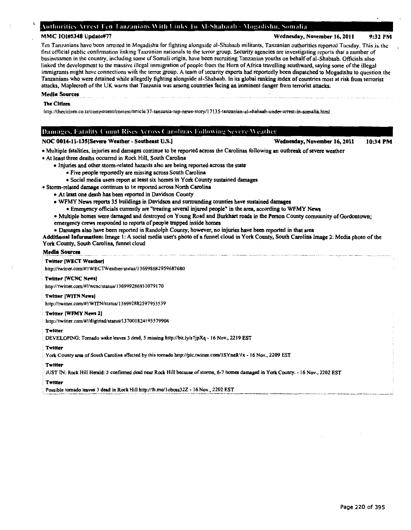## Authorities Arrest Ten Tanzanians With Links To Al-Shabaab - Mogadishu, Somalia

## MMC 101#5348 Update#77 Wednesday, November 16, 2011 9:32 PM

## Ten Tanzanians have been arrested in Mogadishu for fighting alongside ai-Shubaab militants, Tanzanian authorities reported Tuesday. This .is the first official public contirmation linking Tanzanian nationals to the terror group. Security agencies are investigating reports that a number of businessmen in the country, including some of Somali origin, have been recruiting Tanzanian youths on behalf of al-Shabaab. Officials also linked the development to the massive illegal immigration of people from the Horn of Africa travelling southward, saying some of the illegal immigrants might have connections with the terror group. A team of security experts had reportedly been dispatched to Mogadishu to question the Tanzanians who were detained while allegedly fighting alongside ai-Shabaab. In its global ranking index of countries most at risk from terrorist attacks, Maplecroft of the UK warns that Tanzania was among countries facing an imminent danger from terrorist attacks.

## Media Sources

## The Citizen

http:!/thecitizen.co.tzJcomponent/contenr/article/37-tanzania-rop-news-story/17135-tanznnian-al-shabaab-under-urrest-in-somalia.html

## Damages, Fatality Count Rises Across Carolinas Following Severe Weather

NOC 0014-11-135(Severe Weather- Southeast U.S.) Wednesday, November 16, 2011

- Multiple fatalities, injuries and damages continue to be reported across the Carolinas following an outbreak of severe weather
- At least three deaths occurred in Rock Hill, South Carolina
	- Injuries and other storm-related hazards also are being reported across the state
		- Five people reportedly are missing across South Carolina
		- Social media users report at least six homes in York County sustained damages
- Storm-related damage continues to be reported across North Carolina
	- At least one death has been reported in Davidson County

• WFMY News reports 35 buildings in Davidson and surrounding counties have sustained damages

• Emergency officials currently are "treating several injured people" in the area, according to WFMY News

- Multiple homes were damaged and destroyed on Young Road and Burkhart roads in the Person County community of Gordontown;
- emergency crews responded to reports of people trapped inside homes
- Damages also have been reported in Randolph County; however, no injuries have been reported in that area

Additional Information: Image 1: A social media user's photo of a funnel cloud in York County, South Carolina Image 2: Media photo of the York County, South Carolina, funnel cloud

#### Media Sources

#### . Twitter IWECT WeatberJ

http://twitter.com/#!/WECTWeather/starus/J 36998682959687680

## Twitter !WCNC News)

http://twitter.com/#!/wcnc/status/ 136999286931079 I 70

### Twitter IWITN News)

. http://twitter.com/#!/WITN/stanss/136992R82597953539

## Twitter IWFMY News lJ

http://twitter.com/#!/digtriad/status/137001824195579904

## . Twitter

' DEVELOPING: Tornado wake leaves 3 dead, *5* missing http://bit.ly/s7jpXq - 16 Nov., 2219 EST

#### . Twitter

• York County area of South Carolina affected by this tornado http://pic.twitter.com/ISYneRVx- 16 Nov., 2209 EST

### . Twitter

. JUST TN: Rock Hill Herald: 3 confinned dead near Rock Hill because of stonns, 6-7 homes damaged in York County. - 16 Nov., 2202 EST

#### Twitter

Possible tomado leaves 3 dead in Rock Hill http://fb.me/1oboss32Z - 16 Nov., 2202 EST

10:34 PM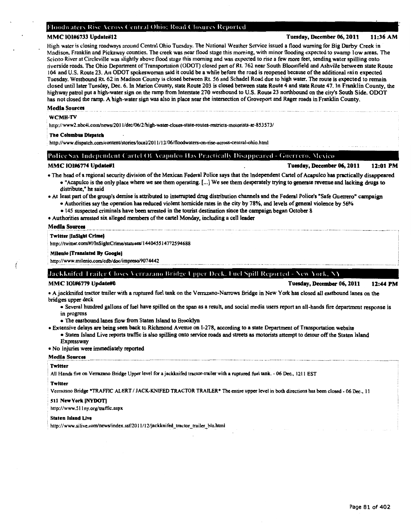## Floodwaters Rise Across Central Ohio; Road Closures Reported

## MMC 101#6733 Update#12 **MMC 101#6733** Update#12

High water is closing roadways around Central Ohio Tuesday. The National Weather Service issued a flood warning for Big Darby Creek in Madison, Franklin and Pickaway counties. The creek was near flood stage this morning, with minor flooding expected to swamp low areas. The Scioto River at Circleville was slightly above flood stage this morning and was expected to rise a few more feet, sending water spilling onto riverside roads. The Ohio Department of Transportation (ODOT) closed part of Rt. 762 near South Bloomfield and Ashville between state Route 104 and U.S. Route 23. An ODOTspokeswoman said it could be a while before the road is reopened because of the additional rain expected Tuesday. Westbound Rt. 62 in Madison County is closed between Rt. 56 and Schadel Road due to high water. The route is expected to remain closed until later Tuesday, Dec. 6.In Marion County, state Route 203 is closed between state Route 4 and state Route 47. In Franklin County, the highway patrol put a high-water sign on the ramp from Interstate 270 westbound to U.S. Route 23 northbound on the city's South Side. ODOT has not closed the ramp. A high-water sign was also in place near the intersection of Groveport and Rager roads in Franklin County.

### Media Sources

## WCMH-TV

http://www2.nbc4i.com/news/2011/dec/06/2/high-water-closes-state-routes-restricts-motorists-ar-853573/

### The Columbus Dispatch

http://www.dispatch.com/content/stories/local/2011/12/06/floodwaters-on-rise-across-central-ohio.html

## Police Say Independent Cartel Of Acapulco Has Practically Disappeared - Guerrero. Mexico

MMC 101#6774 Update#1 12:01 PM

- The head ofa regional security division of the Mexican Federal Police says that the Independent Cartel of Acapulco has practically disappeared • "Acapulco is the only place where we see them operating. [ ... ] We see them desperately trying to generate revenue and lacking drugs to distribute," he said
- At least part of the group's demise is attributed to interrupted drug distribution channels and the Federal Police's "Safe Guerrero" campaign • Authorities say the operation has reduced violent homicide rates in the city by 78%, and levels of general violence by 56%
	- 145 suspected criminals have been arrested in the tourist destination since the campaign began October 8
- Authorities arrested six alleged members ofthe cartel Monday, including a cell leader

## Media Sources

## **Twitter [InSight Crime]**

http://twitter.com/#!/InSightCrime/statuses/144045514772594688

### Milenio (Translated By Google)

http://www.milenio.com/cdb/doc/impreso/9074442

## . Jackknifed Trailer Closes Verrazano Bridge Upper Deck, Fuel Spill Reported - New York, NY

## MMC 101#6779 Update#0 **Tuesday, December 06, 2011** 12:44 PM

• A jackknifed tractor trailer with a ruptured fuel tank on the V errazano-Narrows Bridge in New York has closed all eastbound lanes on the bridges upper deck

- Several hundred gallons of fuel have spilled on the span as a result, and social media users report an all-hands fire department response is in progress
- The eastbound lanes flow from Staten Island to Broolclyn
- Extensive delays are being seen back to Richmond Avenue on 1-278, according to a state Department of Transportation website
	- Staten Island Live reports traffic is also spilling onto service roads and streets as motorists attempt to detour off the Staten Island Expressway

• No injuries were immediately reported

## Media Sources

#### **Twitter**

All Hands fire on Verrazano Bridge Upper level for a jackknifed tractor-trailer with a ruptured fuel tank. - 06 Dec., 1211 EST

## Twitter

Verrazano Bridge •TRAFFIC ALERT I JACK-KNIFED TRACTOR TRAILER • The entire upper level in both directions bas been closed- 06 Dec., II

### : 511 New York (NYDOT)

http://www.511ny.org/traffic.aspx

## Staten Island Live

http://www.silive.com/news/index.ssf/2011/12/jackknifed\_tractor\_trailer\_blo.html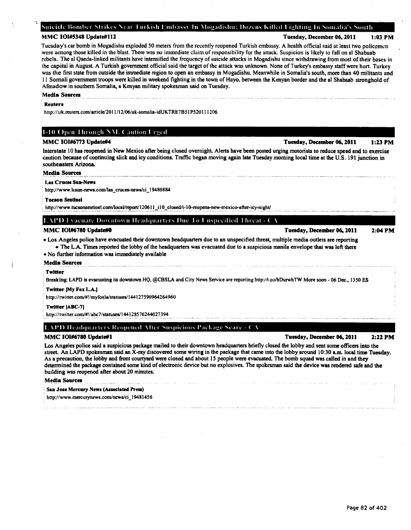## Suicide Bomber Strikes Near Turkish Embassy In Mogadishu; Dozens Killed Fighting In Somalia's South

MMC 101#5348 Update#112 **MMC 101#5348** Update#112

Tuesday's car bomb in Mogadishu exploded 50 meters from the recently reopened Turkish embassy. A health official said at least two policemen were among those killed in the blast. There was no immediate claim of responsibility for the attack. Suspicion is likely to fall on al Shabaab rebels. The al Qaeda-linked militants have intensified the frequency of suicide attacks in Mogadishu since withdrawing from most of their bases in the capital in August. A Turkish government otlicial said the target of the attack was unknown. None of Turkey's embassy staff were hurt. Turkey was the first state from outside the immediate region to open an embassy in Mogadishu. Meanwhile in Somalia's south, more than 40 militants and II Somali government troops were killed in weekend fighting in the town of Hayo. between the Kenyan border and the al Shabaab stronghold of Afmadow in southern Somalia, a Kenyan military spokesman said on Tuesday.

### Media Sources

## Reuters

http://uk.reuters.com/article/2011/12/06/uk-somalia-idUKTRE7B51P520111206

## 1-10 Open Through NM. Caution Urged

Interstate 10 has reopened in New Mexico after being closed overnight. Alerts have been posted urging motorists to reduce speed and to exercise caution because of continuing slick and icy conditions. Traffic began moving again late Tuesday morning local time at the U.S. 191 junction in southeastern Arizona.

## Media Sources

#### Las Cruces Sua-Newa

http://www.lcsun-news.com/las\_cruces-news/ci\_19480884

#### : Tucson Seudael

http://www.tucsonsentinel.com/local/report/120611 i10 closed/i-10-reopens-new-mexico-after-icy-night/

## **I. APD** Evacuate Downtown Headquarters Due To Unspecified Threat - CA

## MMC 101#6780 Update#O Tuesday, December 06, 2011

• Los Angeles police have evacuated their downtown headquarters due to an unspecified threat, multiple media outlets are reporting • The L.A Times reported the lobby of the headquarters was evacuated due to a suspicious manila envelope that was left there

## • No further information was immediately available

Media Sources

## . Twitter

Breaking: LAPD is evacuating its downtown HQ, @CBSLA and City News Service are reporting http://t.co/hDurwhTW More soon. 06 Dec., 1350 ES

### Twitter [My Fox L.A.]

. http://twiner.com/#!/myfoxla/statuses/144127590964264960

#### Twitter IABC-7)

http://twitter.com/#!/abc7/statuses/144128576244027394

## LAPD Headquarters Reopened After Suspicious Package Scare - O

## MMC 101#6780 Update#1 Tuesday, December 06, 1011

Los Angeles police said a suspicious package mailed to their downtown headquarters briefly closed the lobby and sent some officers into the street. An LAPD spokesman said an X-ray discovered some wiring in the package that came into the lobby around 10:30 a.m. local time Tuesday. As a precaution, the lobby and front courtyard were closed and about 15 people were evacuated. The bomb squad was called in and they determined the package contained some kind of electronic device but no explosives. The spokesman said the device was rendered safe and the building was reopened after about 20 minutes.

#### Media Sources

San Jose Mercury News (Associated Press)

· http://www.mercurynews.com/news/ci \_I 9481456

## 2:22 PM

MMC IOI#6773 Update#4 Tuesday, December 06, 2011 1:23 PM

2:04PM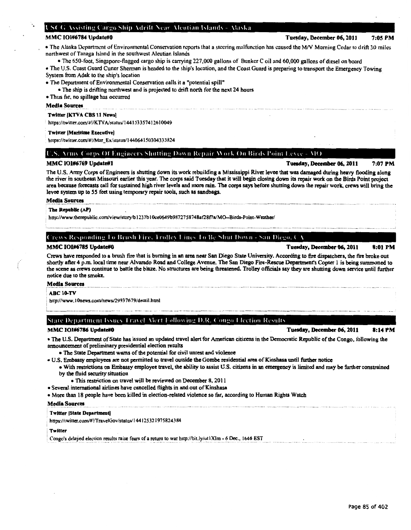## L'SCG Assisting Cargo Ship Adrift Near Alcutian Islands - Alaska

• The Alaska Department of Environmental Conservation reports that a steering malfunction has caused the MN Morning Cedar to drift 30 miles northwest of Tanaga Island in the southwest Aleutian Islands

• The 650-foot, Singapore-flagged cargo ship is carrying 227,000 gallons of Bunker Coil and 60,000 gallons of diesel on board

• The U.S. Coast Guard Cutter Shennan is headed to the ship's location, and the Coast Guard is preparing to transport the Emergency Towing System from Adak to the ship's location

• The Department of Environmental Conservation calls it a "potential spill"

• The ship is drifting northwest and is projected to drift north for the next 24 hours

• Thus far, no spillage has occurred

## Media Sources

## Twitter [KTVA CBS 11 News]

https://twitter.com/#!/KTVA/status/144153357412610049

## Twitter !Maritime Executive)

https://twitter.com/#!/Mar\_Ex/status/144064150304333824

## **(C.S. Army Corps Of Engineers Shutting Down Repair Work On Birds Point Levee - MO**

## MMC 101#6769 Update#! Tuesday, December 06,2011 7:07PM

The U.S. Anny Corps of Engineers is shutting down its work rebuilding a Mississippi River levee that was damaged during heavy flooding along the river in southeast Missouri earlier this year. The corps said Tuesday that it will begin closing down its repair work on the Birds Point project area because forecasts call for sustained high river levels and more rain. The corps says before shutting down the repair work, crews will bring the levee system up to 55 feet using temporary repair tools, such as sandbags.

## Media Sources

## The Republic (AP)

http://www.therepublic.com/view/storylb 1237b I Oce0649b9872758748at28f7a!MO-Birds-Point-Weather/

( Trews Responding To Brush Fire, Trolley Lines To Be Shut Down - San Diego. CA

Crews have responded to a brush fire that is burning in an area near San Diego State University. According to fire dispatchers, the fire broke out shortly after 4 p.m. local time near Alvarado Road and College Avenue. The San Diego Fire-Rescue Department's Copter 1 is being summoned to the scene as crews continue to battle the blaze. No structures are being threatened. Trolley officials say they are shutting down service until further notice due to the smoke.

#### Media Sources

#### ABC 10-TV

. http://www.l Onews.com/news/2993 76 79/detail.htm1

State Department Issues Travel Alert Following D.R. Congo Election Results

## MMC 101#6786 Update#O Tuesday, December 06,2011 8:14PM

• The U.S. Department of State has issued an updated travel alert for American citizens in the Democratic Republic of the Congo, following the announcement of preliminary presidential election results

• The State Department warns of the potential for civil unrest and violence

- U.S. Embassy employees are not permitted to travel outside the Gombe residential area of Kinshasa until further notice
	- With restrictions on Embassy employee travel, the ability to assist U.S. citizens in an emergency is limited and may be further constrained by the fluid security situation
	- This restriction on travel will be reviewed on December 8, 2011
- Several international airlines have cancelled flights in and out of Kinshasa
- More than 18 people have been killed in election-related violence so far, according to Human Rights Watch

### Media Sources

## Twitter [State Department]

https://twitter.com/#!/TraveiGov/status/ 144125321975824384

### **Twitter**

Congo's delayed election results raise fears of a return to war http://bit.ly/utl XIm - 6 Dec., 1646 EST

MMC 101#6785 Update#O Tuesday, December 06, 2011 8:01PM

## MMC 101#6784 Update#0 **Tuesday, December 06, 2011** 7:05 PM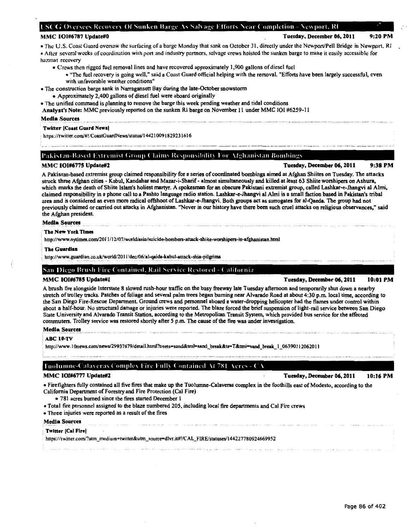## LSCG Oversees Recovery Of Sunken Barge As Salvage Efforts Near Completion - Newport, Rl

## MMC 101#6787 Update#0 **MMC 101#6787 Update#0** Tuesday, December 06, 2011 9:20 PM

## • The U.S. Coast Guard oversaw the surfacing of a barge Monday that sank on October 31, directly under the Newport/Pell Bridge in Newport, R1 • Alter several weeks of coordination with port and industry partners, salvage crews hoisted the sunken barge to make it easily accessible for

hazmat recovery

- Crews then rigged fuel removal lines and have recovered approximately I ,900 gallons of diesel fuel
	- "The fuel recovery is going well," said a Coast Guard official helping with the removal. "Efforts have been largely successful, even with unfavorable weather conditions"
- The construction barge sank in Narragansett Bay during the late-October snowstorm
	- Approximately 2,400 gallons of diesel fuel were aboard originally
- The unified command is planning to remove the barge this week pending weather and tidal conditions
- Analyst's Note: MMC previously reported on the sunken Rl barge on November 11 under MMC 101 #6259-11

## Media Sources

## Twitter (Coaat Guard News)

https://twitter.com/#!/CoastGuardNews/status/144210091829231616

## Pakistan-Based Extremist Group Claims Responsibility For Afghanistan Bombings

MMC 101#6775 Update#2 **MMC 101#6775** Update#2

A Pakistan-based extremist group claimed responsibility for a series of coordinated bombings aimed at Afghan Shiites on Tuesday. The attacks struck three Afghan cities - Kabul, Kandahar and Mazar-i-Sharif- almost simultaneously and killed at least 63 Shiite worshipers on Ashura, which marks the death of Shiite Islam's holiest martyr. A spokesman for an obscure Pakistani extremist group, called Lashkar-e-Jhangvi a1 Almi, claimed responsibility in a phone call to a Pashto language radio station. Lashkar-e-Jhangvi al Almi is a small faction based in Pakistan's tribal area and is considered an even more radical offshoot ofLashkar-e-Jhangvi. Both groups act as surrogates for al-Qaeda. The group had not previously claimed or carried out attacks in Afghanistan. ''Never in our history have there been such cruel attacks on religious observances," said the Afghan president.

## Media Sources

## Tbe New York Timea

http://www.nytimes.com/2011/12/07/world/asia/suicide-bombers-attack-shiite-worshipers-in-afghanistan.html

## Tbe Guardlaa

http://www.guardian.co.uk/world/2011/dec/06/al-qaida-kabul-attack-shia-pilgrims

## San Diego Brush Fire Contained, Rail Service Restored - California

## MMC 101#6785 Update#1 Tuesday, December 06, 1011 10:01 PM

A brush tire alongside Interstate 8 slowed rush-hour traffic on the busy freeway late Tuesday afternoon and temporarily shut down a nearby stretch of trolley tracks. Patches of foliage and several palm trees began burning near Alvarado Road at about 4:30p.m. local time, according to the San Diego Fire-Rescue Department. Ground crews and personnel aboard a water-dropping helicopter had the flames under control within about a half-hour. No structural damage or injuries were reported. The blaze forced the brief suspension of light-rail service between San Diego State University and Alvarado Transit Station, according to the Metropolitan Transit System, which provided bus service for the affected commuters. Trolley service was restored shortly after 5 p.m. The cause of the fire was under investigation.

## Media Sources

## . ABC 10-TV

http://www.10news.com/news/29937679/detail.html?treets=sand&tml=sand\_break&ts=T&tmi=sand\_break\_1\_06390112062011

## Tuolumne-Calaveras Complex Fire Fully Contained At 781 Acres - CA  $^+$

MMC 101#6777 Update#2 **MMC 101#6777 Update#2** and the state of the state of the state of the state of the state of the state of the state of the state of the state of the state of the state of the state of the state of the

- Firefighters fully contained all five fires that make up the Tuolumne-Calaveras complex in the foothills east of Modesto, according to the California Department of Forestry and Fire Protection (Cal Fire)
	- 781 acres burned since the fires started December 1
- Total fire personnel assigned to the blaze numbered 205, including local fire departments and Cal Fire crews
- Three injuries were reported as a result of the tires

## Media Sources

## Twitter (Cal Fire)

https://twitter.com/?utm\_medium=twitter&utm\_source=dlvr.it#!ICAL\_FIRE/statuses/144227780924669952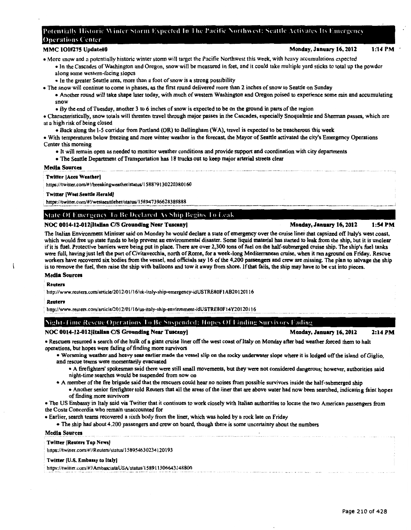## Potentially Historic Winter Storm Expected In The Pacific Northwest: Seattle Activates Its Emergency Operations Center

## MMC 101#275 Update#0 Monday, January 16, 2012

- More snow and n potentially historic winter stonn will target the Pacific Northwest this week, with heavy accumulations expected
	- In the Cascades of Washington and Oregon, snow will be measured in feet, and it could take multiple yard sticks to total up the powder along some western-facing slopes
	- In the greater Seattle area, more than a foot of snow is a strong possibility
- The snow will continue to come in phases, as the first round delivered more than 2 inches of snow to Seattle on Sunday
	- Another round will take shape later today, with much of western Washington and Oregon poised to experience some rain and accumulating snow
		- By the end of Tuesday, another 3 to 6 inches of snow is expected to be on the ground in parts of the region
- Characteristically, snow totals will threaten travel through major passes in the Cascades, especially Snoqualmie and Sherman passes, which are at a high risk of being closed
	- Back along the 1-S corridor from Portland (OR) to Bellingham (WA), travel is expected to be treacherous this week

• With temperatures below freezing and more winter weather in the forecast, the Mayor of Seattle activated the city's Emergency Operations Center this morning

- It will remain open as needed to monitor weather conditions and provide support and coordination with city departments
- The Seattle Department of Transportation has 18 trucks out to keep major arterial streets clear

## Media Sources

## Twitter [Accu Weather)

https://twitter.com/#!/breakingweather/status/158879130220380160

## Twitter [Weat Seattle Herald)

 $^{+111}P^{317}$  with the discussion of the set of the set of the set of the set of the set of the set of the set of the set of the set of the set of the set of the set of the set of the set of the set of the set of the set

## State Of Emergency To Be Declared As Ship Begins To Leak

## NOC 0014-12-012 litalian C/S Grounding Near Tuscany | Monday, January 16, 2012 1:54 PM

The Italian Environment Minister said on Monday he would declare a state of emergency over the cruise liner that capsized off Italy's west coast, which would free up state funds to help prevent an environmental disaster. Some liquid material has started to leak from the ship, but it is unclear if it is fuel. Protective barriers were being put in place. There are over 2,300 tons of fuel on the half-submerged cruise ship. The ship's fuel tanks were full, having just left the port ofCivitavecchia, north of Rome, for a week-long Mediterranean cruise, when it ran aground on Friday. Rescue workers have recovered six bodies from the vessel, and officials say 16 of the 4,200 passengers and crew are missing. The plan to salvage the ship is to remove the fuel, then raise the ship with balloons and tow it away from shore. If that fails, the ship may have to be cut into pieces.

## Media Sources

Reuters

· http://www.reuters.com/article/20 12/0 1/16/uk-italy-ship-emergency-idUSTRE80F I AB20 120116

#### Reuten

http://www.reuters.com/article/2012/01/16/us-italy-ship-environment-idUSTRE80F14Y20120116

## '\ight-1 imc Rl'sl'Ul' Operation-, I o Bl' Su-.pcnded: II opes ( )f I inding Sun i' ors I ading

## NOC 0014-12-012 Italian C/S Grounding Near Tuscany | Monday Monday, January 16, 2012 2:14 PM

• Rescuers resumed a search of the hulk of a giant cruise liner off the west coast of Italy on Monday after bad weather forced them to halt· operations, but hopes were fading of finding more survivors

• Worsening weather and heavy seas earlier made the vessel slip on the rocky underwater slope where it is lodged off the island of Giglio, and rescue teams were momentarily evacuated

- A firefighters' spokesman said there were still small movements, but they were not considered dangerous; however, authorities said night-time searches would be suspended from now on
- A member of the fire brigade said that the rescuers could hear no noises from possible survivors inside the half-submerged ship
- Another senior firefighter told Reuters that all the areas of the liner that are above water had now been searched, indicating faint hopes of finding more survivors

• The US Embassy in Italy said via Twitter that it continues to work closely with Italian authorities to locate the two American passengers from the Costa Concordia who remain unaccounted for

• Earlier, search teams recovered a sixth body from the liner, which was holed by a rock late on Friday

• The ship had about 4,200 passengers and crew on board, though there is some uncertainty about the numbers

## Media Sources

## **Twitter [Reuters Top News]**

https://twitter.com/#!/Reuters/status/158954630234120193

## Twitter (U.S. Embassy to Italy)

https://twitter.com/#!/AmbasciataUSA/status/158911306643148800

## 1:14 PM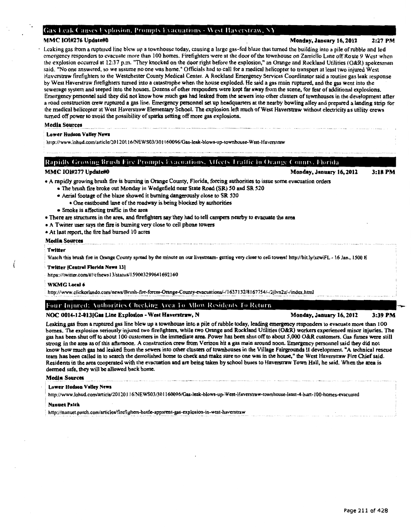## **Gas Leak Causes Explosion, Prompts Evacuations - West Haverstraw, NY**

MMC 101#276 Update#0 2:27 PM

Leaking gas from a ruptured line blew up a townhouse today, causing a large gas-fed blaze that turned the building into a pile of rubble and led emergency responders to evacuate more than 100 homes. Firefighters were at the door of *the* townhouse on Zarriello Lane off Route 9 West when the explosion occurred at 12:37 p.m. "They knocked on the door right before the explosion," an Orange and Rockland Utilities (O&R) spokesman said. "No one answered, so we assume no one was home." Officials had to call for a medical helicopter to transport at least two injured West Haverstraw firefighters to the Westchester County Medical Center. A Rockland Emergency Services Coordinator said a routine gas leak response by West Haverstraw firefighters turned into a catastrophe when the house exploded. He said a gas main ruptured, and the gas went into the sewerage system and seeped into the houses. Dozens of other responders were kept far away from the scene, for tear of additional explosions. Emergency personnel said they did not know how much gas had leaked from the sewers into other clusters of townhouses in the development after a road construction crew ruptured a gas line. Emergency personnel set up headquaners at the nearby bowling alley and prepared a landing strip for the medical helicopter at West Haverstraw Elementary School. The explosion left much of West Haverstraw without electricity as utility crews turned off power to avoid the possibility of sparks setting off more gas explosions.

## Media Sources

## Lower Hudson Valley News

http://www.lohud.com/article/20120116/NEWS03/301160096/Gas-leak-blows-up-townhouse-West-Haverstraw

| MMC IOI#277 Update#0                                                                                                                                                                                                                                                                                                                                                                                                                                                                                                                                                                                                                                             | Monday, January 16, 2012 | $3:18$ PM |
|------------------------------------------------------------------------------------------------------------------------------------------------------------------------------------------------------------------------------------------------------------------------------------------------------------------------------------------------------------------------------------------------------------------------------------------------------------------------------------------------------------------------------------------------------------------------------------------------------------------------------------------------------------------|--------------------------|-----------|
| • A rapidly growing brush fire is burning in Orange County, Florida, forcing authorities to issue some evacuation orders<br>• The brush fire broke out Monday in Wedgefield near State Road (SR) 50 and SR 520<br>• Aerial footage of the blaze showed it burning dangerously close to SR 520<br>. One eastbound lane of the roadway is being blocked by authorities<br>• Smoke is affecting traffic in the area<br>• There are structures in the area, and firefighters say they had to tell campers nearby to evacuate the area<br>• A Twitter user says the fire is burning very close to cell phone towers<br>• At last report, the fire had burned 10 acres |                          |           |
| <b>Media Sources</b>                                                                                                                                                                                                                                                                                                                                                                                                                                                                                                                                                                                                                                             |                          |           |
| Twitter<br>Watch this brush fire in Orange County spread by the minute on our livestream- getting very close to cell towers! http://bit.ly/zzwiFL - 16 Jan., 1500 E                                                                                                                                                                                                                                                                                                                                                                                                                                                                                              |                          |           |
| <b>Twitter [Central Florida News 13]</b><br>https://twitter.com/#!/cfnews13/status/159003299641692160                                                                                                                                                                                                                                                                                                                                                                                                                                                                                                                                                            |                          |           |
| WKMG Local 6<br>http://www.clickorlando.com/news/Brush-fire-forces-Orange-County-evacuations/-/1637132/8167754/-/2jlvn2z/-/index.html                                                                                                                                                                                                                                                                                                                                                                                                                                                                                                                            |                          |           |
| Four Injured: Authorities Checking Area To Allow Residents To Return                                                                                                                                                                                                                                                                                                                                                                                                                                                                                                                                                                                             |                          |           |
| NOC 0014.12.013íCae I ina Evrlosion - West Haverstraw, N                                                                                                                                                                                                                                                                                                                                                                                                                                                                                                                                                                                                         | Mondey Jenuery 16, 2012  | 1.10 PM   |

## NOC 0014-12-013(Gas Line Explosion - West Haverstraw, N Monday, January 16, 2012

3:39PM

Leaking gas from a ruptured gas line blew up a townhouse into a pile of rubble today, leading emergency responders to evacuate more than I 00 homes. The explosion seriously injured two firefighters, while two Orange and Rockland Utilities (o&R) workers experienced minor injuries. The gas has been shut off to about 100 customers in the immediate area. Power has been shut off to about 5,000 O&R customers. Gas fumes were still strong in the area as of this afternoon. A construction crew from Verizon hit a gas main around noon. Emergency personnel said they did not know how much gas had leaked from the sewers into other clusters of townhouses in the Village Fairgrounds II development "A technical rescue team has been called in to search the demolished home to check and make sure no one was in the house," the West Haverstraw Fire Chief said. Residents in the area cooperated with the evacuation and are being taken by school buses to Haverstraw Town Hall, he said. When the area is deemed safe, they will be allowed back home.

## Media Sources

I (

## , Lower Hudson Valley News

' http://www.lohud.com/article/20 120 116/NEWSOJ/30 1160096/Gas-leak-blows-up-West-Haverstraw-townhouse-least-4-hurt-1 00-homes-evacuated

## Nanuet Patel!

http://nanuet.patch.com/articles/firefighers-battle-apparent-gas-explosion-in-west-haverstraw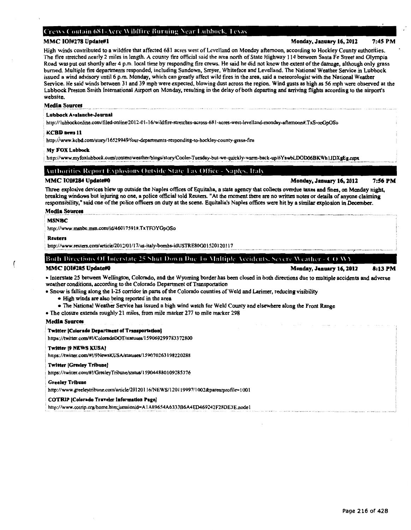## Crews Contain 681-Acre Wildfire Burning Near Lubbock, Texas

## MMC 101#278 Update#1 2:45 PM

The fire stretched nearly 2 miles in length. A county tire official said the area north of State Highway 114 between Santa Fe Street and Olympia Road was put out shortly after 4 p.m. local time by responding fire crews. He said he did not know the extent of the damage, although only grass burned. Multiple fire departments responded, including Sundown, Smyer. Whiteface and Levelland. The National Weather Service in Lubbock issued a wind advisory until 6 p.m. Monday, which can greatly affect wild fires in the area, said a meteorologist with the National Weather Service. He said winds between 31 and 39 mph were expected. blowing dust across the region. Wind gusts as high as 56 mph were observed at the Lubbock Preston Smith International Airport on Monday, resulting in the delay of both departing and arriving flights according to the airport's website.

High winds contributed to a wildfire that affected 681 acres west of Levelland on Monday afternoon, according to Hockley County authoriiies.

## Media Sources

## Lubbock Avalanche-Journal

, http:/ /lubbockonline.comlfiled-online/20 12-0 1-16/wildfire-stretches-across-681-acres-west-levelland-monday-aftemoon#. TxS-ooGpOSo

## KCBD news 11

http:/iwww.kcbd.com/story/16529949/four-depanments-responding-to-hockley-county-grass-fire

## My FOX Lubbock

http://www.myfoxlubbock.com/content/weather/blogs/story/Cooler-Tuesday-but-we-quickly-warm-back-up/6YswbLDOD06BKWh1JDXgEg.cspx

## Authorities Report Explosions Outside State Tax Office - Naples. Italy

## MMC 101#284 Update#0 **Monday, January 16, 2012** 7:56 PM

Three explosive devices blew up outside the Naples offices of Equitalia, a state agency that collects overdue taxes and fines, on Monday night, breaking windows but injuring no one, a police official told Reuters. "At the moment there are no written notes or details of anyone claiming responsibility," said one of the police officers on duty at the scene. Equitalia's Naples offices were hit by a similar explosion in December.

## Media Sources

## MSNBC

http://www.msnbc.msn.com/id/46017591#.TxTFOYGpOSo

#### Reuter•

http://www.reuters.com/article/2012/01/17/us-italy-bombs-idUSTRE80G01520120117

Both Directions Of Interstate 25 Shut Down Due To Multiple Accidents, Severe Weather - CO WY

MMC 101#285 Update#0 8:13 PM

• Interstate 25 between Wellington, Colorado, and the Wyoming border has been closed in both directions due to multiple accidents and adverse weather conditions, according to the Colorado Department of Transportation

• Snow is falling along the 1-25 corridor in parts of the Colorado counties of Weld and Larimer, reducing visibility

- High winds are also being reported in the area
- The National Weather Service has issued a high wind watch for Weld County and elsewhere along the Front Range
- The closure extends roughly 21 miles, from mile marker 277 to mile marker 298

## Media Sources

## **Twitter [Colorado Department of Transportation]**

https://twitter.com/#!/ColoradoDOT/statuses/159069299783372800

#### ' Twitter 19 NEWS KUSA)

• https://twitter.comi#!/9NcwsKUSA/statuses/159070263198220288

## i Twitter (Greeley Tribune)

https://twitter.com/#!/GreeleyTribune/status/159044880109285376

### **Greeley Tribune**

http://www.greeleytribune.com/article/20120116/NEWS/120119997/1002&parentprofile=1001

## COTRIP (Colorado Traveler lnformadoa Page)

http://www.cotrip.org/home.htm;jsessionid=A1A89654A6333B6A4ED469242F28DE3E.node1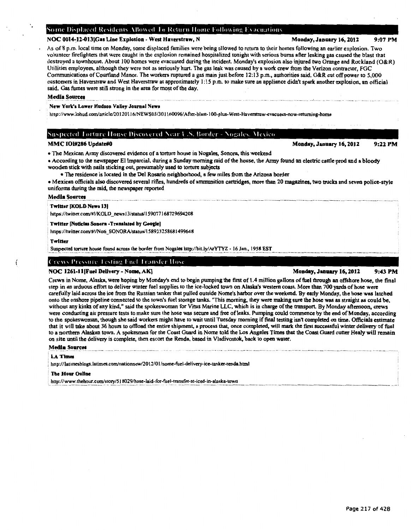## Some Displaced Residents Allowed To Return Home Following Exacuations

## NOC 0014-12-013 Gas Line Explosion - West Haverstraw, N Monday Monday, January 16, 2012 9:07 PM

As of 8 p.m. local time on Monday, some displaced families were being allowed to return to their homes following an earlier explosion. Two volunteer firefighters that were caught in the explosion remained hospitalized tonight with serious bums after leaking gas caused the blast that destroyed a townhouse. About 100 homes were evacuated during the incident. Monday's explosion also injured two Orange and Rockland (O&R) Utilities employees, although they were not as seriously hurt. The gas leak was caused by a work crew from the Verizon contractor, FGC Communications of Courtland Manor. The workers ruptured a gas main just before 12: 13 p.m., authorities said. O&R cut off power to 5,000 customers in Haverstraw and West Haverstraw at approximately I :15 p.m. to make sure an appliance didn't spark another explosion, an official said. Gas fumes were still strong in the area for most of the day.

## Medla Sources

## New York's Lower Hudson Valley Journal News

http://www.lohud.com/article/20120116/NEWS03/301160096/After-blast-100-plus-West-Haverstraw-evacuees-now-returning-home

## **Suspected Torture House Discovered Near U.S. Border - Nogales, Mexico**

- The Mexican Army discovered evidence of a torture house in Nogales, Sonora, this weekend
- According to the newspaper Ellmparcial, during a Sunday morning raid of the house, the Army found an electric cattle prod and a bloody wooden stick with nails sticking out, presumably used to torture subjects
- The residence is located in the Del Rosario neighborhood, a few miles from the Arizona border
- Mexican officials also discovered several rifles, hundreds of ammunition cartridges, more than 20 magazines, two trucks and seven police-style uniforms during the raid, the newspaper reported

## Media Sources

## Twitter [KOLD News 13]

https://twitter.com/#!/KOLD\_news13/status/159077168729694208

## Twitter [Noticias Sonora - Translated by Google]

https://twitter.com/#!/Noti\_SONORA/status/158923258681499648

## Twitter

Suspected torture house found across the border from Nogales http://bit.ly/ArYTYZ - 16 Jan., 1958 EST

## ( Crews Pressure Testing Fuel Transfer Hose

## NOC 1261-11 [Fuel Delivery - Nome, AK] Monday, January 16, 2012 9:43 PM

Crews in Nome, Alaska, were hoping by Monday's end to begin pumping the first of 1.4 million gallons of fuel through an offshore hose, the final step in an arduous effort to deliver winter fuel supplies to the ice-locked town on Alaska's western coast. More than 700 yards of hose were carefully laid across the ice from the Russian tanker that pulled outside Nome's harbor over the weekend. By early Monday, the hose was latched onto the onshore pipeline connected to the town's fuel storage tanks. "This morning, they were making sure the hose was as straight as could be. without any kinks of any kind," said the spokeswoman for Vitus Marine LLC, which is in charge of the transport. By Monday afternoon, crews were conducting air pressure tests to make sure the hose was secure and free of leaks. Pumping could commence by the end of Monday, according to the spokeswoman, though she said workers might have to wait until Tuesday morning if final testing isn't completed on time. Officials estimate that it will take about 36 hours to offload the entire shipment, a process that, once completed, will mark the first successful winter delivery of fuel to a northern Alaskan town. A spokesman for the Coast Guard in Nome told the Los Angeles Times that the Coast Guard cutter Healy will remain on site until the delivery is complete, then escort the Renda, based in Vladivostok, back to open water.

## Media Sources

## • LA Times

: hnp:/ /latimesblogs.latimes.com/nationnow/20 12/0 1/nome-fuel-delivery-ice-tanker-renda.html

### **The Hour Online**

http://www.thehour.com/story/518029/hose-laid-for-fuel-transfer-at-iced-in-alaska-town

MMC 101#286 Update#0 and the Control of the Monday, January 16, 2012 9:22 PM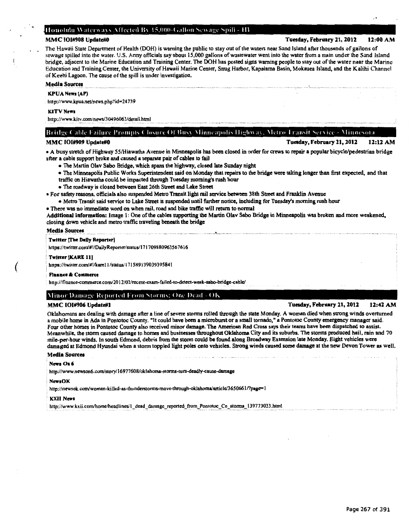## Honolulu Waterways Affected By 15,000-Gallon Sewage Spill - HI

The Hawaii State Department of Health (DOH) is warning the public to stay out of the waters near Sand Island after thousands of gallons of sewage spilled into the water. U.S. Anny officials say about 15,000 gallons of wastewater went into the water from a main under the Sand Island bridge, adjacent to the Marine Education and Training Center. The DOH has posted signs warning people to stay out of the water near the Marine Education and Training Center, the University of Hawaii Marine Center, Snug Harbor, Kapalama Basin, Mokauea Island, and the Kalihi Channel of Keehi Lagoon. The cause of the spill is under investigation.

## Media Sources

## KPUA News (AP)

http://www.kpua.net/news.php?id=24739

### KITV News

http://www.kitv.com/news/30496063/detail.html

MMC 101#909 Update#0 Update#0 Tuesday, February 21, 2012 12:12 AM • A busy stretch of Highway 55/Hiawatha Avenue in Minneapolis has been closed in order for crews to repair a popular bicycle/pedestrian bridge

Bridge Cable Failure Prompts Closure Of Busy Minneapolis Highway, Metro Transit Service - Minnesota

after a cable support broke and caused a separate pair of cables to fail

- The Martin Olav Sabo Bridge, which spans the highway, closed late Sunday night
- The Minneapolis Public Works Superintendent said on Monday that repairs to the bridge were taking longer than first expected, and that
- traffic on Hiawatha could be impacted through Tuesday morning's rush hour
- The roadway is closed between East 26th Street and Lake Street

• For safety reasons, officials also suspended Metro Transit light rail service between 38th Street and Franklin Avenue

- Metro Transit said service to Lake Street is suspended until further notice, including for Tuesday's morning rush hour
- There was no immediate word on when rail, road and bike traffic will return to normal

Additional Information: Image 1: One of the cables supporting the Martin Olav Sabo Bridge in Minneapolis was broken and more weakened, closing down vehicle and metro traffic traveling beneath the bridge

## Media Sources

## **Twitter [The Daily Reporter]**

https://twitter.com/#!/DailyReporter/status/171709880963567616

## Twitter (KARE 11)

(

https://twitter.com/#!/karel1/status/171589139039395841

### : Finance A Commerce

http://finance-commerce.com/2012/02/recent-exam-failed-to-detect-weak-sabo-bridge-cable/

## Minor Damage Reported From Storms: One Dead - OK

## MMC 101#906 Update#1 2:42 AM = 12:42 AM = 12:42 AM = 12:42 AM = 12:42 AM = 12:42 AM = 12:42 AM = 12:42 AM = 12:42

Oklahomans are dealing with damage after a line of severe storms rolled through the state Monday. A woman died when strong winds overturned a mobile home in Ada in Pontotoc County. "It could have been a microburst or a small tornado," a Pontotoc County emergency manager said. Four other homes in Pontotoc County also received minor damage. The American Red Cross says their teams have been dispatched to assist. Meanwhile, the storm caused damage to homes and businesses throughout Oklahoma City and its suburbs. The storms produced hail, rain and 70 mile-per-hour winds. In south Edmond, debris from the storm could be found along Broadway Extension late Monday. Eight vehicles were damaged at Edmond Hyundai when a storm toppled light poles onto vehicles. Strong winda caused some damage at the new Devon Tower as well.

## Media Sources

## ·News On6

http://www.newson6.com/story/16977608/oklahoma-storms-turn-deadly-cause-damage

#### · NewsOK

http://newsok.com/woman-killed-as-thunderstorms-move-through-oklahoma/article/3650661/?page=1

#### KXII News

http://www.kxii.com/home/headlines/1\_dead\_damage\_reported\_from\_Pontotoc\_Co\_storms\_l39773033.html

MMC 101#908 Update#0 **MMC 101#908** Update#0 Tuesday, February 21, 2012 12:00 AM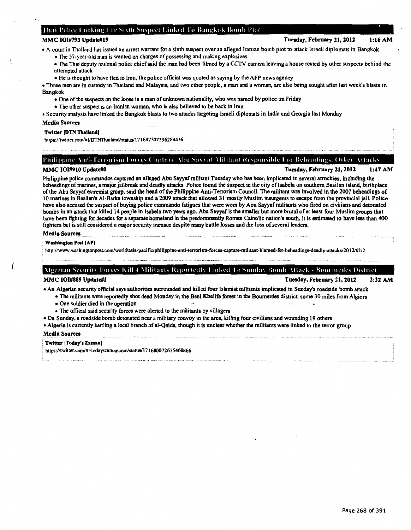## Thai Police Looking For Sixth Suspect Linked To Bangkok Bomb Plot

## MMC 101#793 Update#19 Tuesday, February 21, 2012 1:16AM

• A court in Thailand has issued an arrest warrant for a sixth suspect over an alleged Iranian bomb plot to attack Israeli diplomats in Bangkok

- The 57-year-old man is wanted on charges of possessing and making explosives
- The Thai deputy national police chief said the man had been filmed by a CCTV camera leaving a house rented by other suspects behind the attempted attack
- He is thought to have fled to Iran, the police official was quoted as saying by the AFP news agency
- Three men are in custody in Thailand and Malaysia, and two other people, a man and a woman, are also being sought after last week's blasts in Bangkok
	- One of the suspects on the loose is a man of unknown nationality, who was named by police on Friday
	- The other suspect is an Iranian woman, who is also believed to be back in Iran

• Security analysts have linked the Bangkok blasts to two attacks targeting Israeli diplomats in India and Georgia last Monday

## Media Sources

## Twitter [DTN Thailand]

https://twitter.com/#!/DTNThailand/status/171647307396284416

## Philippine Anti-Terrorism Forces Capture Abu Sayyaf Militant Responsible For Beheadings. Other Attacks

MMC 101#910 Update#O Tuesday, February 21, 2012 1:47AM

Philippine police commandos captured an alleged Abu Sayyaf militant Tuesday who has been implicated in several atrocities, including the beheadings of marines, a major jailbreak and deadly attacks. Police found the suspect in the city of Isabela on southern Basilan island, birthplace of the Abu Sayyaf extremist group, said the head of the Philippine Anti-Terrorism Council. The militant was involved in the 2007 beheadings of 10 marines in Basilan's Al-Barka township and a 2009 attack that allowed 31 mostly Muslim insurgents to escape from the provincial jail. Police have also accused the suspect of buying police commando fatigues that were worn by Abu Sayyaf militants who fired on civilians and detonated bombs in an attack that killed 14 people in Isabela two years ago. Abu Sayyaf is the smaller but more brutal of at least four Muslim groups that have been fighting for decades for a separate homeland in the predominantly Roman Catholic nation's south. It is estimated to have less than 400 fighters but is still considered a major security menace despite many battle losses and the loss of several leaders.

## Media Sources

Washington Post (AP)

hnp://www.washingtonpost.comlworldlasia-pacific/philippine-anti-terrorism-forces-capture-militant-blamed-for-beheadings-deadly-attacksl2012/02/2

## Algerian Security Forces Kill 4 Militants Reportedly Linked To Sunday Bomb Attack - Bourmedes District

MMC 101#885 Update#1 Tuesday, February 21, 2012 2:32AM

• An Algerian security official says authorities surrounded and ki11ed four lslamist militants implicated in Sunday's roadside bomb attack

- The militants were reportedly shot dead Monday in the Beni Khelifa forest in the Boumerdes district, some 30 miles from Algiers
- One soldier died in the operation
- The official said security forces were alerted to the militants by villagers
- On Sunday, a roadside bomb detonated near a military convoy in the area, killing four civilians and wounding 19 others
- Algeria is currently battling a local branch of al-Qaida, though it is unclear whether the militants were linked to the terror group

## Media Sources

## Twitter [Today's Zaman

https://twitter.com/#!/todayszamancom/status/171680072615460866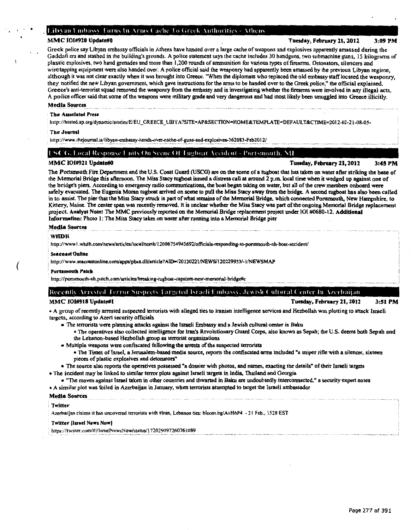## Libyan Embassy Turns In Arms Cache To Greek Authorities - Athens

## MMC 101#920 Update#0 **MMC 101#920 Update#0** Tuesday, February 21, 2012 3:09 PM

Greek police say Libyan embassy officials in Athens have handed over a large cache of weapons and explosives apparently amassed during the Gaddafi era and stashed in the building's grounds. A police statement says the cache includes 30 handguns, two submachine guns, 15 kilograms of plastic explosives, two hand grenades and more than 1,200 rounds of ammunition for various types of firearms. Detonators, silencers and wiretapping equipment were also handed over. A police official said the weaponry had apparently been amassed by the previous Libyan regime, although it was not clear exactly when it was brought into Greece. "When the diplomats who replaced the old embassy staff located the weaponry, they notified the new Libyan government, which gave instructions for the arms to be handed over to the Greek police,'' the official explained. Greece's anti-terrorist squad removed the weaponry from the embassy and is investigating whether the firearms were involved in any illegal acts. A police officer said that some of the weapons were military grade and very dangerous and had most likely been smuggled into Greece illicitly.

## Media Sources

 $\mathcal{C}(\mathcal{C})$ 

## The Associated Press

http://hosted.ap.org/dynamic/stories/E/EU\_GREECE\_LIBYA?SITE=AP&SECTION=HOME&TEMPLA TE=DEFAULT &CTIME=2012-02-21-08-05-

#### The Journal

http://www.thejournal.ie/libyan-embassy-hands-over-cache-of-guns-and-explosives-362083-Feb2012/

## **L'SCG.** Local Response Units On Scene Of Tugboat Accident - Portsmouth, NH

MMC 101#921 Update#0 **Tuesday, February 21, 2012** 3:45 PM

The Portsmouth Fire Department and the U.S. Coast Guard (USCG) are on the scene of a tugboat that has taken on water after striking the base of the Memorial Bridge this afternoon. The Miss Stacy tugboat issued a distress call at around 2 p.m. local time when it wedged up against one of the bridge's piers. According to emergency radio communications. the boat began taking on water, but all of the crew members onboard were safely evacuated. The Eugenia Moran tugboat arrived on scene to pull the Miss Stacy away from the bridge. A second tugboat has also been called in to assist. The pier that the Miss Stacy struck is part of what remains of the Memorial Bridge, which connected Portsmouth, New Hampshire, to Kittery, Maine. The center span was recently removed. It is unclear whether the Miss Stacy was part of the ongoing Memorial Bridge replacement project. Analyst Note: The MMC previously reported on the Memorial Bridge replacement project under 101 #0680-12. Additional Information: Photo I: The Miss Stacy takes on water after running into a Memorial Bridge pier

#### Media Sources

## WHDH

*(* 

http://www1.whdh.com/news/articles/local/north/12006754943692/officials-responding-to-portsmouth-nh-boat-accident/

#### **Seacoast Online**

: http://www .seacoastonline.corn/apps/pbcs.dlllanicle? AID-/20 120221/NEWS/120229953/-1/NEWSMAP

### ' Portsmouth Patch

http://portsmouth-nh.patch.com/articles/breaking-tugboat-capsizes-near-memorial-bridge#c

## Recently Arrested Terror Suspects Targeted Israeli Embassy, Jewish Cultural Center In Azerbaijan

## MMC 101#918 Update#1 2001 2012 21, 2012 21, 2012 21:51 PM

• A group of recently arrested suspected terrorists with alleged ties to Iranian intelligence services and Hezbollah was plotting to attack Israeli targets, according to Azeri security officials

- The terrorists were planning attacks against the Israeli Embassy and a Jewish cultural center in Baku
	- The operatives also collected intelligence for Iran's Revolutionary Guard Corps, also known as Sepah; the U.S. deems both Sepah and the Lebanon-based Hezbollah group as terrorist organizations
- Multiple weapons were confiscated following the arrests of the suspected terrorists
	- The Times oflsrael, a Jerusalem-based media source, reports the confiscated arms included "a sniper rifle with a silencer, sixteen pieces of plastic explosives and detonators"

• The source also reports the operatives possessed "a dossier with photos, and names, exacting the details" of their Israeli targets • The incident may be linked to similar terror plots against Israeli targets in India, Thailand and Georgia

• "The moves against Israel taken in other countries and thwarted in Baku are undoubtedly interconnected," a security expert notes • A similar plot was foiled in Azerbaijan in January, when terrorists attempted to target the Israeli ambassador

## Media Sources

#### **Twitter**

Azerbaijan claims it has uncovered terrorists with #Iran, Lebanon ties: bloom.bg/AxH6P4 - 21 Feb., 1528 EST

## Twitter (Israel News Now)

https://twitter.com/#!/IsraelNewsNow/status/172029097260761089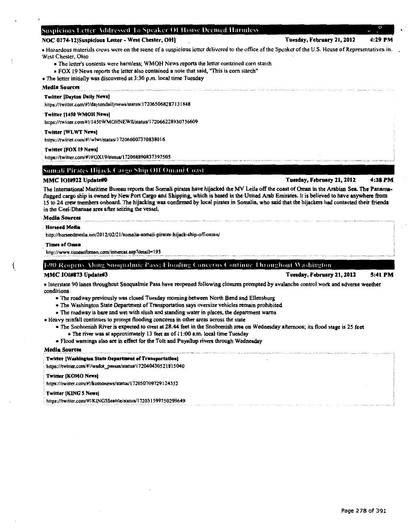## Suspicious Letter Addressed To Speaker Of House Deemed Harmless

## NOC 0174-12 Suspicious Letter - West Chester, OH] Tuesday, February 21, 2012 4:29 PM

• Hazardous materials crews were on the scene of a suspicious letter delivered to the office of the Speaker of the U.S. House of Representatives in. West Chester, Ohio

- The letter's contents were harmless; WMOH News reports the letter contained corn starch
- FOX 19 News reports the letter also contained a note that said, "This is com starch"

## • The letter initially was discovered at 3:30 p.m. local time Tuesday

## Media Sources

## Twitter (Dayton Dally News)

https://twitter.coml#!/daytondailynews/status/172065068287131648

## Twitter 11450 WMOH News)

https://twitter.com/#!/1450WMOHNEWS/status/172066228930756609

## Twitter [WLWT News]

https://twitter.com/#!/wlwt/status/1720660073708380 16

## Twitter [FOX 19 News]

https://twitter.com/#!/FOX19/status/172068890837397505

## Somali Pirates Hijack Cargo Ship Off Omani Coast

## MMC 101#922 Update#0  $\blacksquare$  4:38 PM

The International Maritime Bureau reports that Somali pirates have hijacked the MV Leila off the coast of Oman in the Arabian Sea. The Panamaflagged cargo ship is owned by New Port Cargo and Shipping, which is based in the United Arab Emirates. It is believed to have anywhere from 15 to 24 crew members onboard. The hijacking was confirmed by local pirates in Somalia, who said that the hijackers had contacted their friends in the Ceei-Dhanaae area after seizing the vessel.

## Media Sources

#### Honeed Media

http://horseedmedia.net/2012/02/21/somalia-somali-pirates-hijack-ship-off-oman/

#### Times of Omaa

http://www.timesofoman.com/innercat.asp?detail=195

1-90 Reopens. Mong Snoqualmic Pass: Flooding Concerns Continue Throughout Washington.

## MMC 101#873 Update#3 Tuesday, February 21,2012 5:41PM

• Interstate 90 lanes throughout Snoqualmie Pass have reopened following closures prompted by avalanche control work and adverse weather conditions

• The roadway previously was closed Tuesday morning between North Bend and Ellensburg

- The Washington State Department of Transportation says oversize vehicles remain prohibited
- The roadway is bare and wet with slush and standing water in places, the department warns

• Heavy rainfall continues to prompt flooding concerns in other areas across the state

• The Snohomish River is expected to crest at 28.44 feet in the Snohomish area on Wednesday afternoon; its flood stage is 25 feet

- The river was at approximately 13 feet as of 11 :00 a.m. local time Tuesday
- Flood warnings also are in effect for the Tolt and Puyallup rivers through Wednesday

## Media Sources

#### Twitter [Washington State Department of Transportation]

https://twitter.com/#!/wsdot\_passes/status/172040430521815040

## Twitter IKOMO News)

https://twitter.com/#!/komonews/status/172050709729124352

## Twitter [KING 5 News]

https://twitter.com/#!/KING5Seattle/status/172031599750299649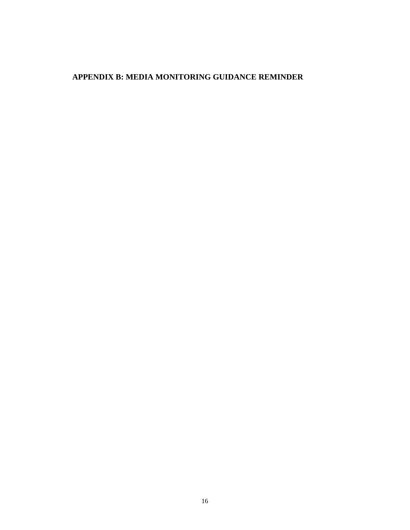## **APPENDIX B: MEDIA MONITORING GUIDANCE REMINDER**